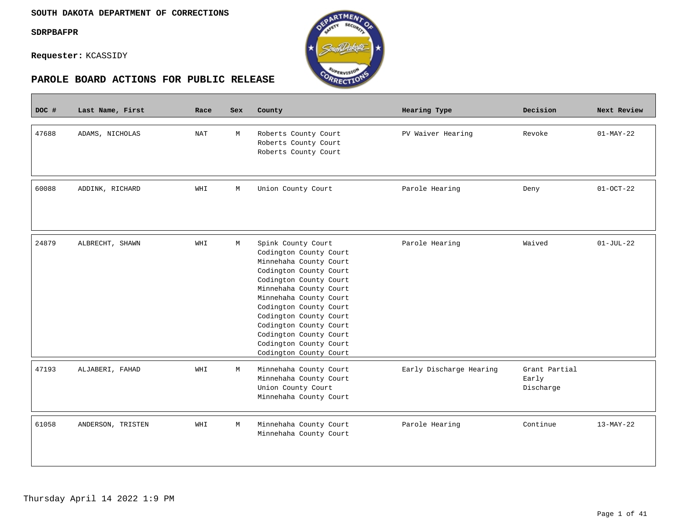$\overline{\phantom{a}}$ 

**Requester:** KCASSIDY



| DOC # | Last Name, First  | Race | Sex | County                                                                                                                                                                                                                                                                                                                                     | Hearing Type            | Decision                            | Next Review     |
|-------|-------------------|------|-----|--------------------------------------------------------------------------------------------------------------------------------------------------------------------------------------------------------------------------------------------------------------------------------------------------------------------------------------------|-------------------------|-------------------------------------|-----------------|
| 47688 | ADAMS, NICHOLAS   | NAT  | M   | Roberts County Court<br>Roberts County Court<br>Roberts County Court                                                                                                                                                                                                                                                                       | PV Waiver Hearing       | Revoke                              | $01-MAY-22$     |
| 60088 | ADDINK, RICHARD   | WHI  | М   | Union County Court                                                                                                                                                                                                                                                                                                                         | Parole Hearing          | Deny                                | $01-0CT-22$     |
| 24879 | ALBRECHT, SHAWN   | WHI  | M   | Spink County Court<br>Codington County Court<br>Minnehaha County Court<br>Codington County Court<br>Codington County Court<br>Minnehaha County Court<br>Minnehaha County Court<br>Codington County Court<br>Codington County Court<br>Codington County Court<br>Codington County Court<br>Codington County Court<br>Codington County Court | Parole Hearing          | Waived                              | $01 - JUL - 22$ |
| 47193 | ALJABERI, FAHAD   | WHI  | M   | Minnehaha County Court<br>Minnehaha County Court<br>Union County Court<br>Minnehaha County Court                                                                                                                                                                                                                                           | Early Discharge Hearing | Grant Partial<br>Early<br>Discharge |                 |
| 61058 | ANDERSON, TRISTEN | WHI  | М   | Minnehaha County Court<br>Minnehaha County Court                                                                                                                                                                                                                                                                                           | Parole Hearing          | Continue                            | $13-MAY-22$     |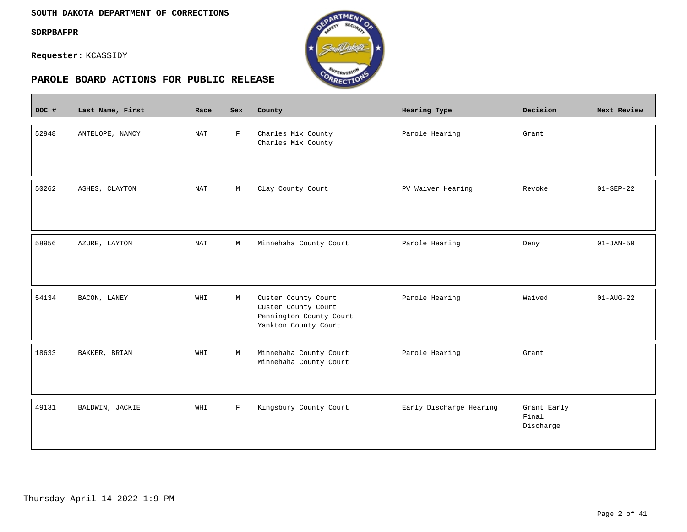$\sim$ 

**Requester:** KCASSIDY



| DOC # | Last Name, First | Race                 | Sex          | County                                                                                        | Hearing Type            | Decision                          | Next Review     |
|-------|------------------|----------------------|--------------|-----------------------------------------------------------------------------------------------|-------------------------|-----------------------------------|-----------------|
| 52948 | ANTELOPE, NANCY  | <b>NAT</b>           | $\mathbf{F}$ | Charles Mix County<br>Charles Mix County                                                      | Parole Hearing          | Grant                             |                 |
| 50262 | ASHES, CLAYTON   | $\operatorname{NAT}$ | $\mathbb M$  | Clay County Court                                                                             | PV Waiver Hearing       | Revoke                            | $01 - SEP - 22$ |
| 58956 | AZURE, LAYTON    | <b>NAT</b>           | M            | Minnehaha County Court                                                                        | Parole Hearing          | Deny                              | $01 - JAN - 50$ |
| 54134 | BACON, LANEY     | WHI                  | М            | Custer County Court<br>Custer County Court<br>Pennington County Court<br>Yankton County Court | Parole Hearing          | Waived                            | $01 - AUG - 22$ |
| 18633 | BAKKER, BRIAN    | WHI                  | M            | Minnehaha County Court<br>Minnehaha County Court                                              | Parole Hearing          | Grant                             |                 |
| 49131 | BALDWIN, JACKIE  | WHI                  | $\mathbf F$  | Kingsbury County Court                                                                        | Early Discharge Hearing | Grant Early<br>Final<br>Discharge |                 |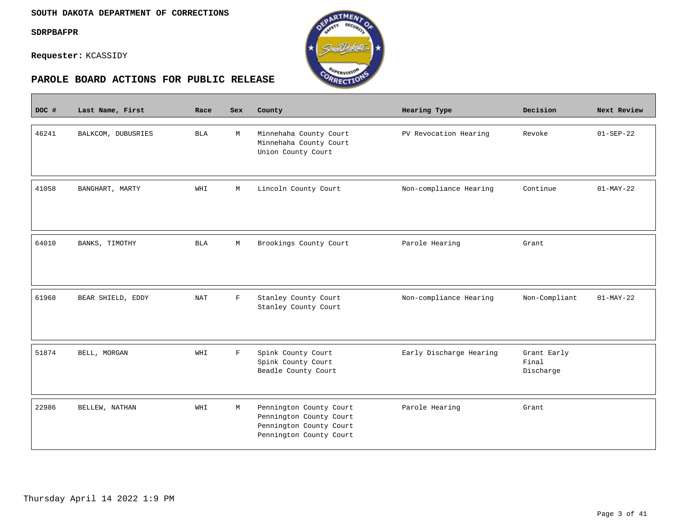$\mathcal{L}^{\text{max}}_{\text{max}}$ 

**Requester:** KCASSIDY



| DOC # | Last Name, First   | Race       | <b>Sex</b>  | County                                                                                                   | Hearing Type            | Decision                          | Next Review     |
|-------|--------------------|------------|-------------|----------------------------------------------------------------------------------------------------------|-------------------------|-----------------------------------|-----------------|
| 46241 | BALKCOM, DUBUSRIES | <b>BLA</b> | М           | Minnehaha County Court<br>Minnehaha County Court<br>Union County Court                                   | PV Revocation Hearing   | Revoke                            | $01 - SEP - 22$ |
| 41058 | BANGHART, MARTY    | WHI        | М           | Lincoln County Court                                                                                     | Non-compliance Hearing  | Continue                          | $01-MAY-22$     |
| 64010 | BANKS, TIMOTHY     | <b>BLA</b> | М           | Brookings County Court                                                                                   | Parole Hearing          | Grant                             |                 |
| 61968 | BEAR SHIELD, EDDY  | <b>NAT</b> | $\mathbf F$ | Stanley County Court<br>Stanley County Court                                                             | Non-compliance Hearing  | Non-Compliant                     | $01-MAY-22$     |
| 51874 | BELL, MORGAN       | WHI        | $\mathbf F$ | Spink County Court<br>Spink County Court<br>Beadle County Court                                          | Early Discharge Hearing | Grant Early<br>Final<br>Discharge |                 |
| 22986 | BELLEW, NATHAN     | WHI        | М           | Pennington County Court<br>Pennington County Court<br>Pennington County Court<br>Pennington County Court | Parole Hearing          | Grant                             |                 |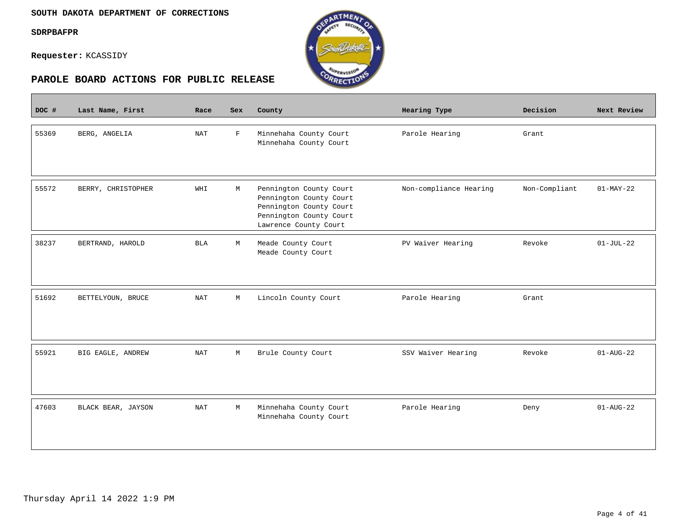$\overline{\phantom{a}}$ 

**Requester:** KCASSIDY



| DOC # | Last Name, First   | Race       | <b>Sex</b>  | County                                                                                                                            | <b>Hearing Type</b>    | Decision      | Next Review     |
|-------|--------------------|------------|-------------|-----------------------------------------------------------------------------------------------------------------------------------|------------------------|---------------|-----------------|
| 55369 | BERG, ANGELIA      | <b>NAT</b> | $\mathbf F$ | Minnehaha County Court<br>Minnehaha County Court                                                                                  | Parole Hearing         | Grant         |                 |
| 55572 | BERRY, CHRISTOPHER | WHI        | М           | Pennington County Court<br>Pennington County Court<br>Pennington County Court<br>Pennington County Court<br>Lawrence County Court | Non-compliance Hearing | Non-Compliant | $01-MAY-22$     |
| 38237 | BERTRAND, HAROLD   | <b>BLA</b> | М           | Meade County Court<br>Meade County Court                                                                                          | PV Waiver Hearing      | Revoke        | $01-JUL-22$     |
| 51692 | BETTELYOUN, BRUCE  | <b>NAT</b> | $\mathbb M$ | Lincoln County Court                                                                                                              | Parole Hearing         | Grant         |                 |
| 55921 | BIG EAGLE, ANDREW  | <b>NAT</b> | М           | Brule County Court                                                                                                                | SSV Waiver Hearing     | Revoke        | $01 - AUG - 22$ |
| 47603 | BLACK BEAR, JAYSON | <b>NAT</b> | М           | Minnehaha County Court<br>Minnehaha County Court                                                                                  | Parole Hearing         | Deny          | $01 - AUG - 22$ |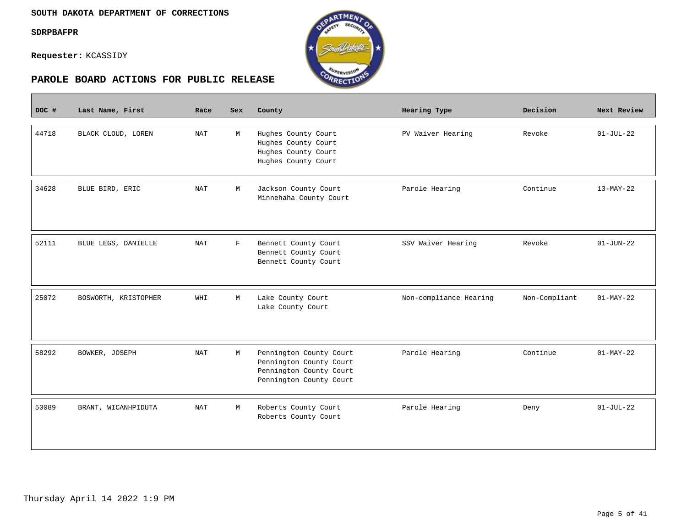$\overline{\phantom{a}}$ 

**Requester:** KCASSIDY





| DOC # | Last Name, First     | Race | <b>Sex</b> | County                                                                                                   | Hearing Type           | Decision      | Next Review     |
|-------|----------------------|------|------------|----------------------------------------------------------------------------------------------------------|------------------------|---------------|-----------------|
| 44718 | BLACK CLOUD, LOREN   | NAT  | M          | Hughes County Court<br>Hughes County Court<br>Hughes County Court<br>Hughes County Court                 | PV Waiver Hearing      | Revoke        | $01-JUL-22$     |
| 34628 | BLUE BIRD, ERIC      | NAT  | M          | Jackson County Court<br>Minnehaha County Court                                                           | Parole Hearing         | Continue      | $13-MAY-22$     |
| 52111 | BLUE LEGS, DANIELLE  | NAT  | F          | Bennett County Court<br>Bennett County Court<br>Bennett County Court                                     | SSV Waiver Hearing     | Revoke        | $01 - JUN - 22$ |
| 25072 | BOSWORTH, KRISTOPHER | WHI  | M          | Lake County Court<br>Lake County Court                                                                   | Non-compliance Hearing | Non-Compliant | $01-MAY-22$     |
| 58292 | BOWKER, JOSEPH       | NAT  | M          | Pennington County Court<br>Pennington County Court<br>Pennington County Court<br>Pennington County Court | Parole Hearing         | Continue      | $01-MAY-22$     |
| 50089 | BRANT, WICANHPIDUTA  | NAT  | M          | Roberts County Court<br>Roberts County Court                                                             | Parole Hearing         | Deny          | $01 - JUL - 22$ |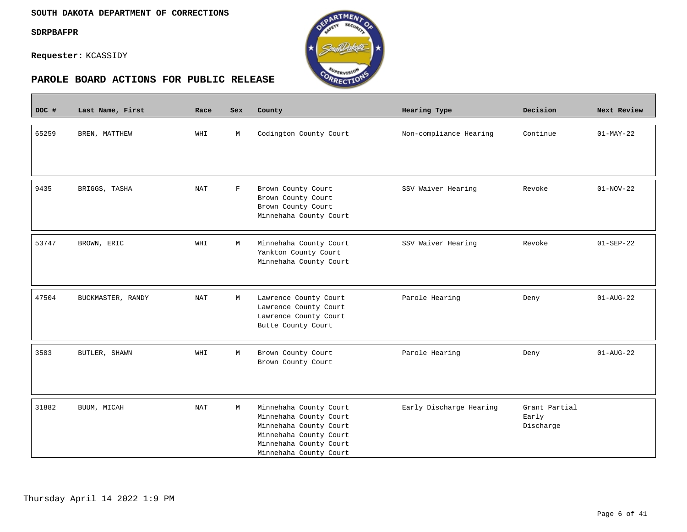$\overline{\phantom{a}}$ 

**Requester:** KCASSIDY



| DOC # | Last Name, First  | Race       | Sex        | County                                           | <b>Hearing Type</b>     | Decision               | Next Review            |
|-------|-------------------|------------|------------|--------------------------------------------------|-------------------------|------------------------|------------------------|
|       |                   |            |            |                                                  |                         |                        |                        |
| 65259 | BREN, MATTHEW     | WHI        | M          | Codington County Court                           | Non-compliance Hearing  | Continue               | $01-MAY-22$            |
|       |                   |            |            |                                                  |                         |                        |                        |
|       |                   |            |            |                                                  |                         |                        |                        |
|       |                   |            |            |                                                  |                         |                        |                        |
| 9435  | BRIGGS, TASHA     | <b>NAT</b> | $_{\rm F}$ | Brown County Court                               | SSV Waiver Hearing      | Revoke                 | $01-NOV-22$            |
|       |                   |            |            | Brown County Court                               |                         |                        |                        |
|       |                   |            |            | Brown County Court                               |                         |                        |                        |
|       |                   |            |            | Minnehaha County Court                           |                         |                        |                        |
| 53747 | BROWN, ERIC       | WHI        | М          | Minnehaha County Court                           | SSV Waiver Hearing      | Revoke                 | $01 - SEP - 22$        |
|       |                   |            |            | Yankton County Court                             |                         |                        |                        |
|       |                   |            |            | Minnehaha County Court                           |                         |                        |                        |
|       |                   |            |            |                                                  |                         |                        |                        |
|       |                   |            |            |                                                  |                         |                        |                        |
| 47504 | BUCKMASTER, RANDY | <b>NAT</b> | М          | Lawrence County Court                            | Parole Hearing          | Deny                   | $01 - \text{AUG} - 22$ |
|       |                   |            |            | Lawrence County Court                            |                         |                        |                        |
|       |                   |            |            | Lawrence County Court<br>Butte County Court      |                         |                        |                        |
|       |                   |            |            |                                                  |                         |                        |                        |
| 3583  | BUTLER, SHAWN     | WHI        | М          | Brown County Court                               | Parole Hearing          | Deny                   | $01 - AUG - 22$        |
|       |                   |            |            | Brown County Court                               |                         |                        |                        |
|       |                   |            |            |                                                  |                         |                        |                        |
|       |                   |            |            |                                                  |                         |                        |                        |
|       |                   |            |            |                                                  |                         |                        |                        |
| 31882 | BUUM, MICAH       | <b>NAT</b> | М          | Minnehaha County Court<br>Minnehaha County Court | Early Discharge Hearing | Grant Partial<br>Early |                        |
|       |                   |            |            | Minnehaha County Court                           |                         | Discharge              |                        |
|       |                   |            |            | Minnehaha County Court                           |                         |                        |                        |
|       |                   |            |            | Minnehaha County Court                           |                         |                        |                        |
|       |                   |            |            | Minnehaha County Court                           |                         |                        |                        |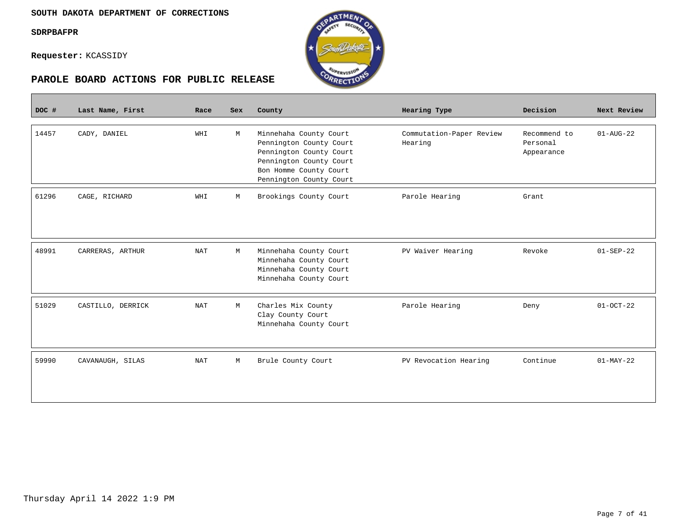**Contract** 

**Requester:** KCASSIDY



| DOC # | Last Name, First  | Race       | Sex | County                                                                                                                                                       | Hearing Type                        | Decision                               | Next Review     |
|-------|-------------------|------------|-----|--------------------------------------------------------------------------------------------------------------------------------------------------------------|-------------------------------------|----------------------------------------|-----------------|
| 14457 | CADY, DANIEL      | WHI        | М   | Minnehaha County Court<br>Pennington County Court<br>Pennington County Court<br>Pennington County Court<br>Bon Homme County Court<br>Pennington County Court | Commutation-Paper Review<br>Hearing | Recommend to<br>Personal<br>Appearance | $01 - AUG - 22$ |
| 61296 | CAGE, RICHARD     | WHI        | М   | Brookings County Court                                                                                                                                       | Parole Hearing                      | Grant                                  |                 |
| 48991 | CARRERAS, ARTHUR  | <b>NAT</b> | М   | Minnehaha County Court<br>Minnehaha County Court<br>Minnehaha County Court<br>Minnehaha County Court                                                         | PV Waiver Hearing                   | Revoke                                 | $01 - SEP - 22$ |
| 51029 | CASTILLO, DERRICK | <b>NAT</b> | M   | Charles Mix County<br>Clay County Court<br>Minnehaha County Court                                                                                            | Parole Hearing                      | Deny                                   | $01-0CT-22$     |
| 59990 | CAVANAUGH, SILAS  | <b>NAT</b> | М   | Brule County Court                                                                                                                                           | PV Revocation Hearing               | Continue                               | $01-MAY-22$     |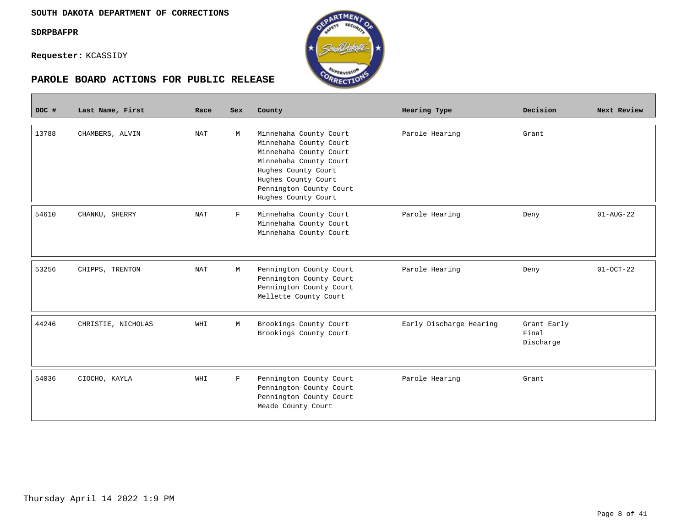**Requester:** KCASSIDY



| DOC # | Last Name, First   | Race       | <b>Sex</b>  | County                                                                                                                                                                                               | Hearing Type            | Decision                          | Next Review            |
|-------|--------------------|------------|-------------|------------------------------------------------------------------------------------------------------------------------------------------------------------------------------------------------------|-------------------------|-----------------------------------|------------------------|
| 13788 | CHAMBERS, ALVIN    | <b>NAT</b> | М           | Minnehaha County Court<br>Minnehaha County Court<br>Minnehaha County Court<br>Minnehaha County Court<br>Hughes County Court<br>Hughes County Court<br>Pennington County Court<br>Hughes County Court | Parole Hearing          | Grant                             |                        |
| 54610 | CHANKU, SHERRY     | <b>NAT</b> | F           | Minnehaha County Court<br>Minnehaha County Court<br>Minnehaha County Court                                                                                                                           | Parole Hearing          | Deny                              | $01 - \text{AUG} - 22$ |
| 53256 | CHIPPS, TRENTON    | <b>NAT</b> | М           | Pennington County Court<br>Pennington County Court<br>Pennington County Court<br>Mellette County Court                                                                                               | Parole Hearing          | Deny                              | $01-0CT-22$            |
| 44246 | CHRISTIE, NICHOLAS | WHI        | М           | Brookings County Court<br>Brookings County Court                                                                                                                                                     | Early Discharge Hearing | Grant Early<br>Final<br>Discharge |                        |
| 54036 | CIOCHO, KAYLA      | WHI        | $\mathbf F$ | Pennington County Court<br>Pennington County Court<br>Pennington County Court<br>Meade County Court                                                                                                  | Parole Hearing          | Grant                             |                        |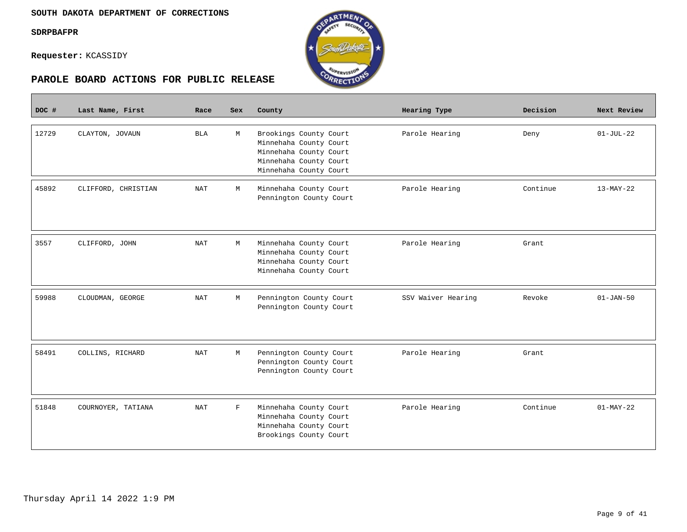**Requester:** KCASSIDY



| DOC # | Last Name, First    | Race       | <b>Sex</b> | County                                                                                                                         | Hearing Type       | Decision | Next Review   |
|-------|---------------------|------------|------------|--------------------------------------------------------------------------------------------------------------------------------|--------------------|----------|---------------|
| 12729 | CLAYTON, JOVAUN     | BLA        | M          | Brookings County Court<br>Minnehaha County Court<br>Minnehaha County Court<br>Minnehaha County Court<br>Minnehaha County Court | Parole Hearing     | Deny     | $01 - JUL-22$ |
| 45892 | CLIFFORD, CHRISTIAN | <b>NAT</b> | M          | Minnehaha County Court<br>Pennington County Court                                                                              | Parole Hearing     | Continue | $13-MAY-22$   |
| 3557  | CLIFFORD, JOHN      | NAT        | M          | Minnehaha County Court<br>Minnehaha County Court<br>Minnehaha County Court<br>Minnehaha County Court                           | Parole Hearing     | Grant    |               |
| 59988 | CLOUDMAN, GEORGE    | <b>NAT</b> | M          | Pennington County Court<br>Pennington County Court                                                                             | SSV Waiver Hearing | Revoke   | $01 - JAN-50$ |
| 58491 | COLLINS, RICHARD    | <b>NAT</b> | M          | Pennington County Court<br>Pennington County Court<br>Pennington County Court                                                  | Parole Hearing     | Grant    |               |
| 51848 | COURNOYER, TATIANA  | <b>NAT</b> | F          | Minnehaha County Court<br>Minnehaha County Court<br>Minnehaha County Court<br>Brookings County Court                           | Parole Hearing     | Continue | $01-MAY-22$   |

RTMEN

RECTI<sup>O</sup>

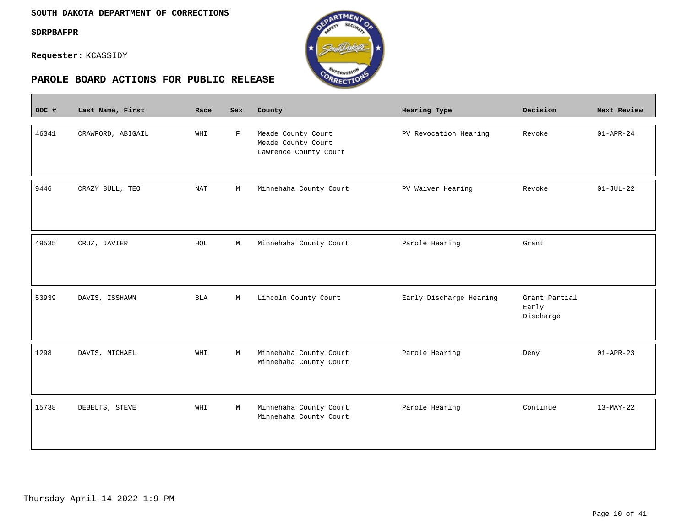$\overline{\phantom{a}}$ 

**Requester:** KCASSIDY



| DOC # | Last Name, First  | Race       | <b>Sex</b>   | County                                                            | Hearing Type            | Decision                            | Next Review     |
|-------|-------------------|------------|--------------|-------------------------------------------------------------------|-------------------------|-------------------------------------|-----------------|
| 46341 | CRAWFORD, ABIGAIL | WHI        | $\mathbf{F}$ | Meade County Court<br>Meade County Court<br>Lawrence County Court | PV Revocation Hearing   | Revoke                              | $01 - APR - 24$ |
| 9446  | CRAZY BULL, TEO   | <b>NAT</b> | M            | Minnehaha County Court                                            | PV Waiver Hearing       | Revoke                              | $01-JUL-22$     |
| 49535 | CRUZ, JAVIER      | HOL        | M            | Minnehaha County Court                                            | Parole Hearing          | Grant                               |                 |
| 53939 | DAVIS, ISSHAWN    | <b>BLA</b> | М            | Lincoln County Court                                              | Early Discharge Hearing | Grant Partial<br>Early<br>Discharge |                 |
| 1298  | DAVIS, MICHAEL    | WHI        | М            | Minnehaha County Court<br>Minnehaha County Court                  | Parole Hearing          | Deny                                | $01 - APR - 23$ |
| 15738 | DEBELTS, STEVE    | WHI        | M            | Minnehaha County Court<br>Minnehaha County Court                  | Parole Hearing          | Continue                            | $13-MAY-22$     |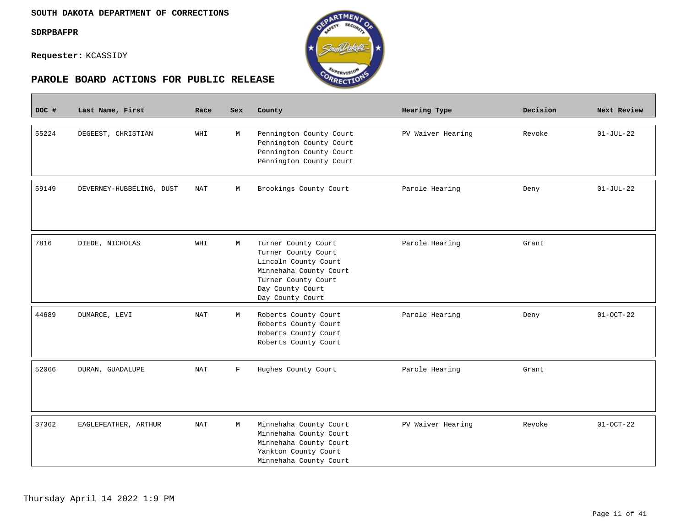$\overline{\phantom{a}}$ 

**Requester:** KCASSIDY



| DOC # | Last Name, First         | Race                 | <b>Sex</b> | County                                                                                                                                                      | Hearing Type      | Decision | Next Review     |
|-------|--------------------------|----------------------|------------|-------------------------------------------------------------------------------------------------------------------------------------------------------------|-------------------|----------|-----------------|
| 55224 | DEGEEST, CHRISTIAN       | WHI                  | М          | Pennington County Court<br>Pennington County Court<br>Pennington County Court<br>Pennington County Court                                                    | PV Waiver Hearing | Revoke   | $01 - JUL - 22$ |
| 59149 | DEVERNEY-HUBBELING, DUST | NAT                  | М          | Brookings County Court                                                                                                                                      | Parole Hearing    | Deny     | $01-JUL-22$     |
| 7816  | DIEDE, NICHOLAS          | WHI                  | М          | Turner County Court<br>Turner County Court<br>Lincoln County Court<br>Minnehaha County Court<br>Turner County Court<br>Day County Court<br>Day County Court | Parole Hearing    | Grant    |                 |
| 44689 | DUMARCE, LEVI            | <b>NAT</b>           | М          | Roberts County Court<br>Roberts County Court<br>Roberts County Court<br>Roberts County Court                                                                | Parole Hearing    | Deny     | $01 - OCT - 22$ |
| 52066 | DURAN, GUADALUPE         | $\operatorname{NAT}$ | F          | Hughes County Court                                                                                                                                         | Parole Hearing    | Grant    |                 |
| 37362 | EAGLEFEATHER, ARTHUR     | <b>NAT</b>           | М          | Minnehaha County Court<br>Minnehaha County Court<br>Minnehaha County Court<br>Yankton County Court<br>Minnehaha County Court                                | PV Waiver Hearing | Revoke   | $01 - OCT - 22$ |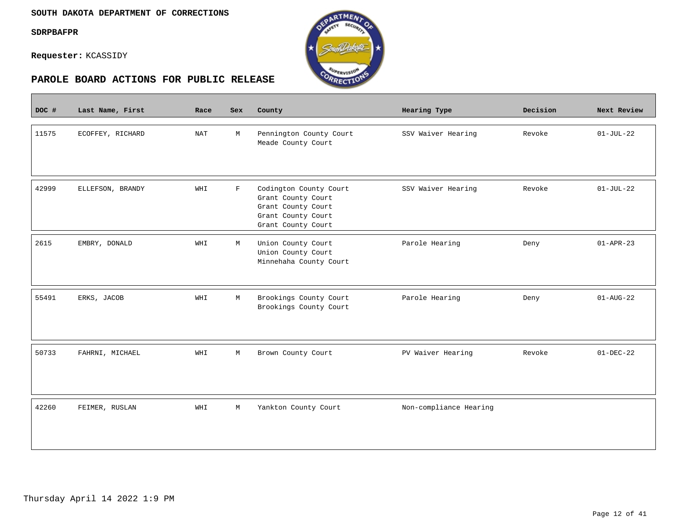$\overline{\phantom{a}}$ 

**Requester:** KCASSIDY



| DOC # | Last Name, First | Race       | <b>Sex</b>  | County                                                                                                         | Hearing Type           | Decision | Next Review     |
|-------|------------------|------------|-------------|----------------------------------------------------------------------------------------------------------------|------------------------|----------|-----------------|
| 11575 | ECOFFEY, RICHARD | <b>NAT</b> | М           | Pennington County Court<br>Meade County Court                                                                  | SSV Waiver Hearing     | Revoke   | $01-JUL-22$     |
| 42999 | ELLEFSON, BRANDY | WHI        | $\mathbf F$ | Codington County Court<br>Grant County Court<br>Grant County Court<br>Grant County Court<br>Grant County Court | SSV Waiver Hearing     | Revoke   | $01-JUL-22$     |
| 2615  | EMBRY, DONALD    | WHI        | М           | Union County Court<br>Union County Court<br>Minnehaha County Court                                             | Parole Hearing         | Deny     | $01 - APR - 23$ |
| 55491 | ERKS, JACOB      | WHI        | M           | Brookings County Court<br>Brookings County Court                                                               | Parole Hearing         | Deny     | $01 - AUG - 22$ |
| 50733 | FAHRNI, MICHAEL  | WHI        | М           | Brown County Court                                                                                             | PV Waiver Hearing      | Revoke   | $01-DEC-22$     |
| 42260 | FEIMER, RUSLAN   | WHI        | М           | Yankton County Court                                                                                           | Non-compliance Hearing |          |                 |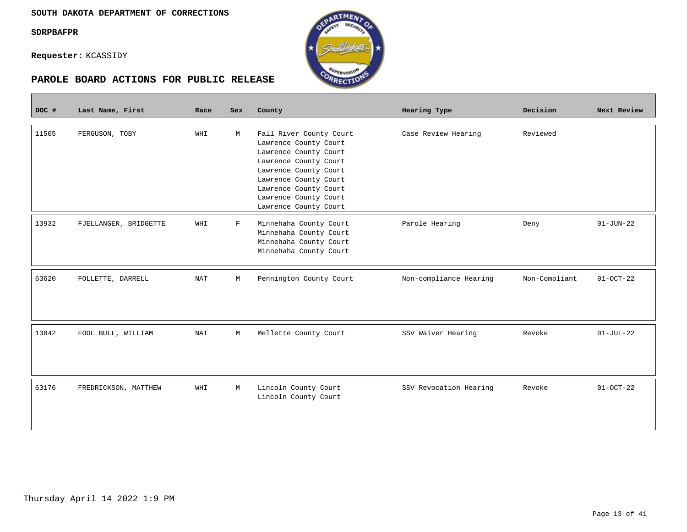**Requester:** KCASSIDY



| DOC # | Last Name, First      | Race       | Sex | County                                                                                                                                                                                                                          | Hearing Type           | Decision      | Next Review     |
|-------|-----------------------|------------|-----|---------------------------------------------------------------------------------------------------------------------------------------------------------------------------------------------------------------------------------|------------------------|---------------|-----------------|
| 11505 | FERGUSON, TOBY        | WHI        | M   | Fall River County Court<br>Lawrence County Court<br>Lawrence County Court<br>Lawrence County Court<br>Lawrence County Court<br>Lawrence County Court<br>Lawrence County Court<br>Lawrence County Court<br>Lawrence County Court | Case Review Hearing    | Reviewed      |                 |
| 13932 | FJELLANGER, BRIDGETTE | WHI        | F   | Minnehaha County Court<br>Minnehaha County Court<br>Minnehaha County Court<br>Minnehaha County Court                                                                                                                            | Parole Hearing         | Deny          | $01 - JUN - 22$ |
| 63620 | FOLLETTE, DARRELL     | <b>NAT</b> | М   | Pennington County Court                                                                                                                                                                                                         | Non-compliance Hearing | Non-Compliant | $01-0CT-22$     |
| 13842 | FOOL BULL, WILLIAM    | NAT        | M   | Mellette County Court                                                                                                                                                                                                           | SSV Waiver Hearing     | Revoke        | $01-JUL-22$     |
| 63176 | FREDRICKSON, MATTHEW  | WHI        | M   | Lincoln County Court<br>Lincoln County Court                                                                                                                                                                                    | SSV Revocation Hearing | Revoke        | $01-0CT-22$     |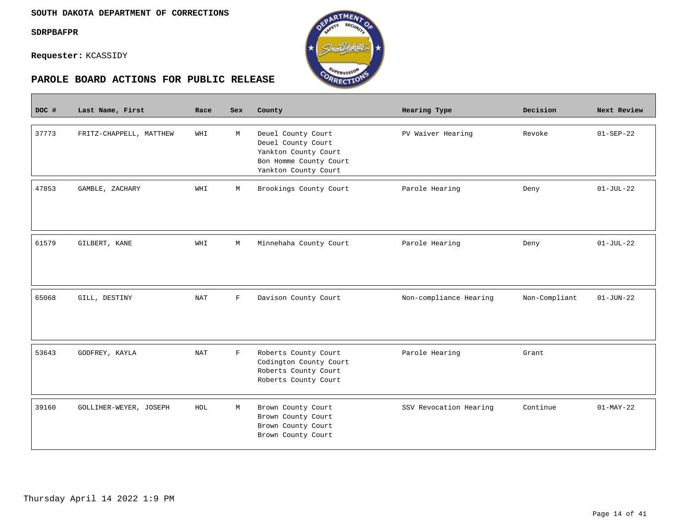$\mathcal{L}^{\text{max}}_{\text{max}}$ 

**Requester:** KCASSIDY



| DOC # | Last Name, First        | Race       | Sex          | County                                                                                                             | Hearing Type           | Decision      | Next Review     |
|-------|-------------------------|------------|--------------|--------------------------------------------------------------------------------------------------------------------|------------------------|---------------|-----------------|
| 37773 | FRITZ-CHAPPELL, MATTHEW | WHI        | М            | Deuel County Court<br>Deuel County Court<br>Yankton County Court<br>Bon Homme County Court<br>Yankton County Court | PV Waiver Hearing      | Revoke        | $01 - SEP - 22$ |
| 47853 | GAMBLE, ZACHARY         | WHI        | М            | Brookings County Court                                                                                             | Parole Hearing         | Deny          | $01-JUL-22$     |
| 61579 | GILBERT, KANE           | WHI        | M            | Minnehaha County Court                                                                                             | Parole Hearing         | Deny          | $01-JUL-22$     |
| 65068 | GILL, DESTINY           | <b>NAT</b> | $\mathbf F$  | Davison County Court                                                                                               | Non-compliance Hearing | Non-Compliant | $01 - JUN - 22$ |
| 53643 | GODFREY, KAYLA          | <b>NAT</b> | $\mathbf{F}$ | Roberts County Court<br>Codington County Court<br>Roberts County Court<br>Roberts County Court                     | Parole Hearing         | Grant         |                 |
| 39160 | GOLLIHER-WEYER, JOSEPH  | HOL        | М            | Brown County Court<br>Brown County Court<br>Brown County Court<br>Brown County Court                               | SSV Revocation Hearing | Continue      | $01-MAY-22$     |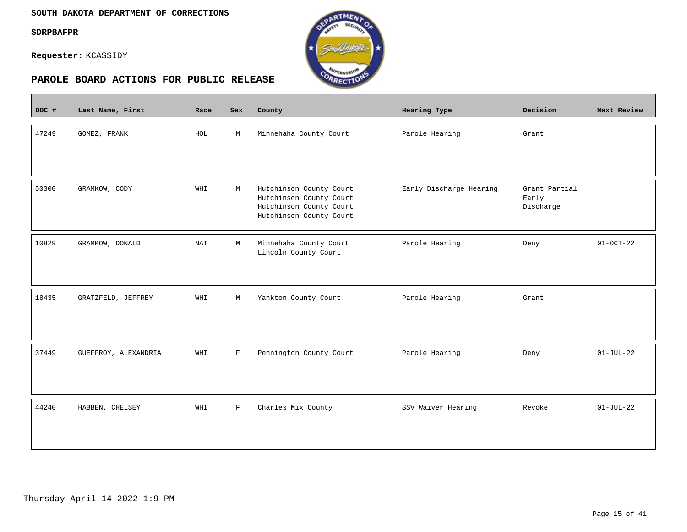#### **SOUTH DAKOTA DEPARTMENT OF CORRECTIONS**

**SDRPBAFPR**

 $\overline{\phantom{a}}$ 

**Requester:** KCASSIDY



| DOC # | Last Name, First     | Race | Sex | County                                                                                                   | Hearing Type            | Decision                            | Next Review |
|-------|----------------------|------|-----|----------------------------------------------------------------------------------------------------------|-------------------------|-------------------------------------|-------------|
| 47249 | GOMEZ, FRANK         | HOL  | М   | Minnehaha County Court                                                                                   | Parole Hearing          | Grant                               |             |
| 50300 | GRAMKOW, CODY        | WHI  | М   | Hutchinson County Court<br>Hutchinson County Court<br>Hutchinson County Court<br>Hutchinson County Court | Early Discharge Hearing | Grant Partial<br>Early<br>Discharge |             |
| 10829 | GRAMKOW, DONALD      | NAT  | М   | Minnehaha County Court<br>Lincoln County Court                                                           | Parole Hearing          | Deny                                | $01-0CT-22$ |
| 18435 | GRATZFELD, JEFFREY   | WHI  | М   | Yankton County Court                                                                                     | Parole Hearing          | Grant                               |             |
| 37449 | GUEFFROY, ALEXANDRIA | WHI  | F   | Pennington County Court                                                                                  | Parole Hearing          | Deny                                | $01-JUL-22$ |
| 44240 | HABBEN, CHELSEY      | WHI  | F   | Charles Mix County                                                                                       | SSV Waiver Hearing      | Revoke                              | $01-JUL-22$ |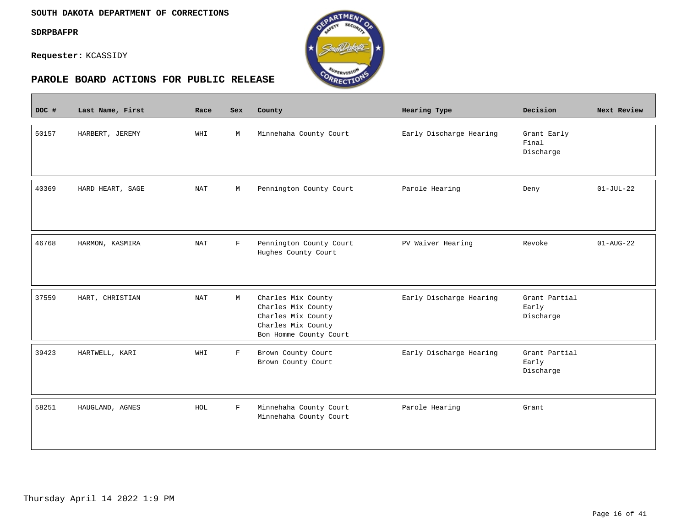$\overline{\phantom{a}}$ 

**Requester:** KCASSIDY



| DOC # | Last Name, First | Race                 | <b>Sex</b>   | County                                                                                                         | Hearing Type            | Decision                            | Next Review            |
|-------|------------------|----------------------|--------------|----------------------------------------------------------------------------------------------------------------|-------------------------|-------------------------------------|------------------------|
| 50157 | HARBERT, JEREMY  | WHI                  | M            | Minnehaha County Court                                                                                         | Early Discharge Hearing | Grant Early<br>Final<br>Discharge   |                        |
| 40369 | HARD HEART, SAGE | $\operatorname{NAT}$ | М            | Pennington County Court                                                                                        | Parole Hearing          | Deny                                | $01-JUL-22$            |
| 46768 | HARMON, KASMIRA  | $\operatorname{NAT}$ | $\mathbf{F}$ | Pennington County Court<br>Hughes County Court                                                                 | PV Waiver Hearing       | Revoke                              | $01 - \text{AUG} - 22$ |
| 37559 | HART, CHRISTIAN  | $\operatorname{NAT}$ | М            | Charles Mix County<br>Charles Mix County<br>Charles Mix County<br>Charles Mix County<br>Bon Homme County Court | Early Discharge Hearing | Grant Partial<br>Early<br>Discharge |                        |
| 39423 | HARTWELL, KARI   | WHI                  | $\mathbf F$  | Brown County Court<br>Brown County Court                                                                       | Early Discharge Hearing | Grant Partial<br>Early<br>Discharge |                        |
| 58251 | HAUGLAND, AGNES  | HOL                  | $\mathbf F$  | Minnehaha County Court<br>Minnehaha County Court                                                               | Parole Hearing          | Grant                               |                        |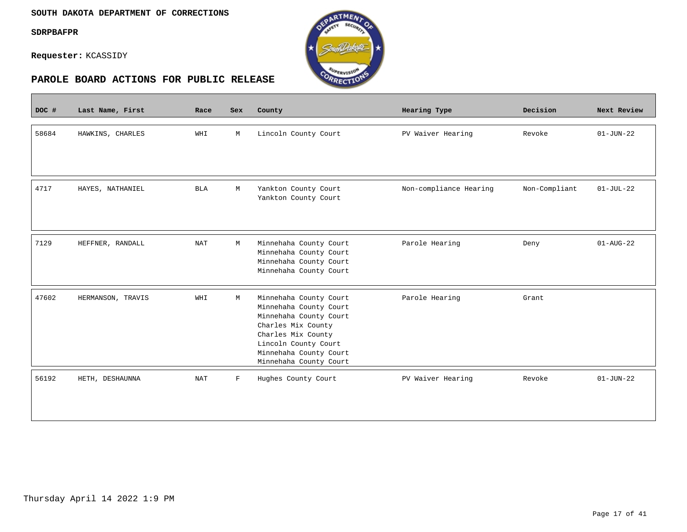$\overline{\phantom{a}}$ 

**Requester:** KCASSIDY



| DOC # | Last Name, First  | Race                 | Sex         | County                                                                                                                                                                                             | Hearing Type           | Decision      | Next Review     |
|-------|-------------------|----------------------|-------------|----------------------------------------------------------------------------------------------------------------------------------------------------------------------------------------------------|------------------------|---------------|-----------------|
| 58684 | HAWKINS, CHARLES  | WHI                  | М           | Lincoln County Court                                                                                                                                                                               | PV Waiver Hearing      | Revoke        | $01 - JUN - 22$ |
| 4717  | HAYES, NATHANIEL  | <b>BLA</b>           | М           | Yankton County Court<br>Yankton County Court                                                                                                                                                       | Non-compliance Hearing | Non-Compliant | $01-JUL-22$     |
| 7129  | HEFFNER, RANDALL  | $\operatorname{NAT}$ | М           | Minnehaha County Court<br>Minnehaha County Court<br>Minnehaha County Court<br>Minnehaha County Court                                                                                               | Parole Hearing         | Deny          | $01 - AUG - 22$ |
| 47602 | HERMANSON, TRAVIS | WHI                  | М           | Minnehaha County Court<br>Minnehaha County Court<br>Minnehaha County Court<br>Charles Mix County<br>Charles Mix County<br>Lincoln County Court<br>Minnehaha County Court<br>Minnehaha County Court | Parole Hearing         | Grant         |                 |
| 56192 | HETH, DESHAUNNA   | <b>NAT</b>           | $\mathbf F$ | Hughes County Court                                                                                                                                                                                | PV Waiver Hearing      | Revoke        | $01 - JUN - 22$ |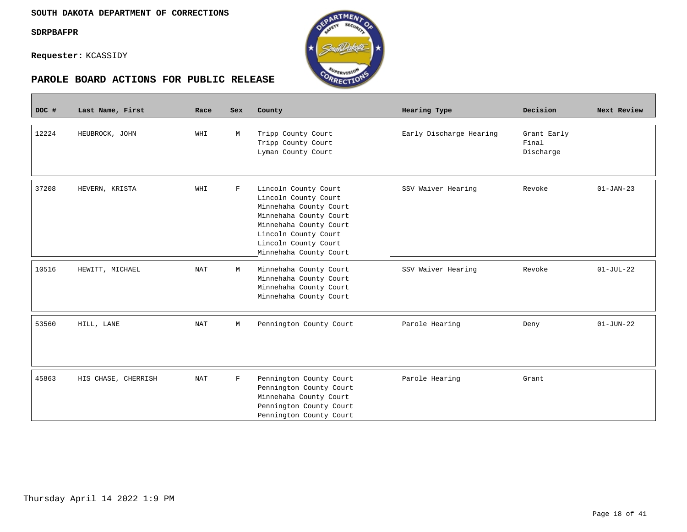$\overline{\phantom{a}}$ 

**Requester:** KCASSIDY

| DOC # | Last Name, First    | Race                 | Sex         | County                                                                                                                                                                                               | Hearing Type            | Decision                          | Next Review     |
|-------|---------------------|----------------------|-------------|------------------------------------------------------------------------------------------------------------------------------------------------------------------------------------------------------|-------------------------|-----------------------------------|-----------------|
| 12224 | HEUBROCK, JOHN      | WHI                  | М           | Tripp County Court<br>Tripp County Court<br>Lyman County Court                                                                                                                                       | Early Discharge Hearing | Grant Early<br>Final<br>Discharge |                 |
| 37208 | HEVERN, KRISTA      | WHI                  | $\mathbf F$ | Lincoln County Court<br>Lincoln County Court<br>Minnehaha County Court<br>Minnehaha County Court<br>Minnehaha County Court<br>Lincoln County Court<br>Lincoln County Court<br>Minnehaha County Court | SSV Waiver Hearing      | Revoke                            | $01-JAN-23$     |
| 10516 | HEWITT, MICHAEL     | NAT                  | М           | Minnehaha County Court<br>Minnehaha County Court<br>Minnehaha County Court<br>Minnehaha County Court                                                                                                 | SSV Waiver Hearing      | Revoke                            | $01-JUL-22$     |
| 53560 | HILL, LANE          | NAT                  | М           | Pennington County Court                                                                                                                                                                              | Parole Hearing          | Deny                              | $01 - JUN - 22$ |
| 45863 | HIS CHASE, CHERRISH | $\operatorname{NAT}$ | $\mathbf F$ | Pennington County Court<br>Pennington County Court<br>Minnehaha County Court<br>Pennington County Court<br>Pennington County Court                                                                   | Parole Hearing          | Grant                             |                 |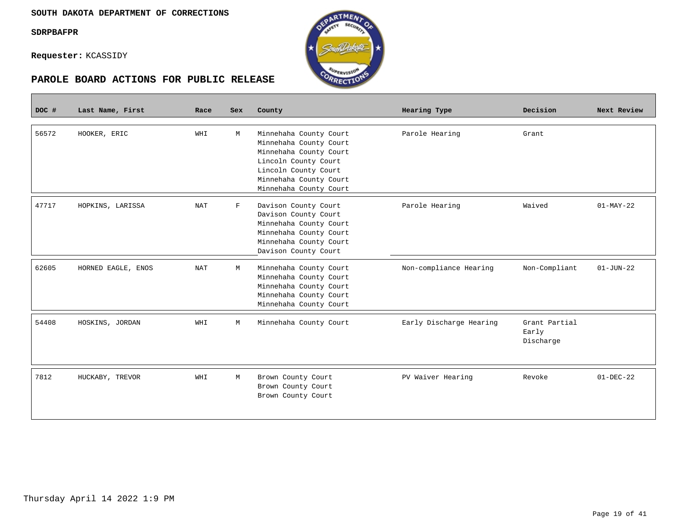Г

**Requester:** KCASSIDY



| DOC # | Last Name, First   | Race                 | <b>Sex</b>  | County                                                                                                                                                                         | Hearing Type            | Decision                            | Next Review     |
|-------|--------------------|----------------------|-------------|--------------------------------------------------------------------------------------------------------------------------------------------------------------------------------|-------------------------|-------------------------------------|-----------------|
| 56572 | HOOKER, ERIC       | WHI                  | М           | Minnehaha County Court<br>Minnehaha County Court<br>Minnehaha County Court<br>Lincoln County Court<br>Lincoln County Court<br>Minnehaha County Court<br>Minnehaha County Court | Parole Hearing          | Grant                               |                 |
| 47717 | HOPKINS, LARISSA   | $\operatorname{NAT}$ | $\mathbf F$ | Davison County Court<br>Davison County Court<br>Minnehaha County Court<br>Minnehaha County Court<br>Minnehaha County Court<br>Davison County Court                             | Parole Hearing          | Waived                              | $01-MAY-22$     |
| 62605 | HORNED EAGLE, ENOS | $\operatorname{NAT}$ | М           | Minnehaha County Court<br>Minnehaha County Court<br>Minnehaha County Court<br>Minnehaha County Court<br>Minnehaha County Court                                                 | Non-compliance Hearing  | Non-Compliant                       | $01 - JUN - 22$ |
| 54408 | HOSKINS, JORDAN    | WHI                  | M           | Minnehaha County Court                                                                                                                                                         | Early Discharge Hearing | Grant Partial<br>Early<br>Discharge |                 |
| 7812  | HUCKABY, TREVOR    | WHI                  | M           | Brown County Court<br>Brown County Court<br>Brown County Court                                                                                                                 | PV Waiver Hearing       | Revoke                              | $01 - DEC - 22$ |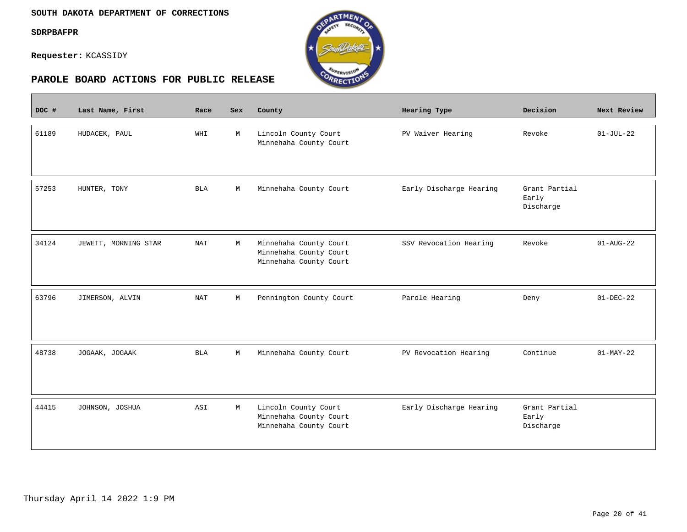$\overline{\phantom{a}}$ 

**Requester:** KCASSIDY



| DOC # | Last Name, First     | Race                 | Sex         | County                                                                     | Hearing Type            | Decision                            | Next Review            |
|-------|----------------------|----------------------|-------------|----------------------------------------------------------------------------|-------------------------|-------------------------------------|------------------------|
| 61189 | HUDACEK, PAUL        | WHI                  | M           | Lincoln County Court<br>Minnehaha County Court                             | PV Waiver Hearing       | Revoke                              | $01-JUL-22$            |
| 57253 | HUNTER, TONY         | <b>BLA</b>           | M           | Minnehaha County Court                                                     | Early Discharge Hearing | Grant Partial<br>Early<br>Discharge |                        |
| 34124 | JEWETT, MORNING STAR | <b>NAT</b>           | M           | Minnehaha County Court<br>Minnehaha County Court<br>Minnehaha County Court | SSV Revocation Hearing  | Revoke                              | $01 - \text{AUG} - 22$ |
| 63796 | JIMERSON, ALVIN      | $\operatorname{NAT}$ | $\mathbb M$ | Pennington County Court                                                    | Parole Hearing          | Deny                                | $01-DEC-22$            |
| 48738 | JOGAAK, JOGAAK       | BLA                  | M           | Minnehaha County Court                                                     | PV Revocation Hearing   | Continue                            | $01-MAY-22$            |
| 44415 | JOHNSON, JOSHUA      | ASI                  | М           | Lincoln County Court<br>Minnehaha County Court<br>Minnehaha County Court   | Early Discharge Hearing | Grant Partial<br>Early<br>Discharge |                        |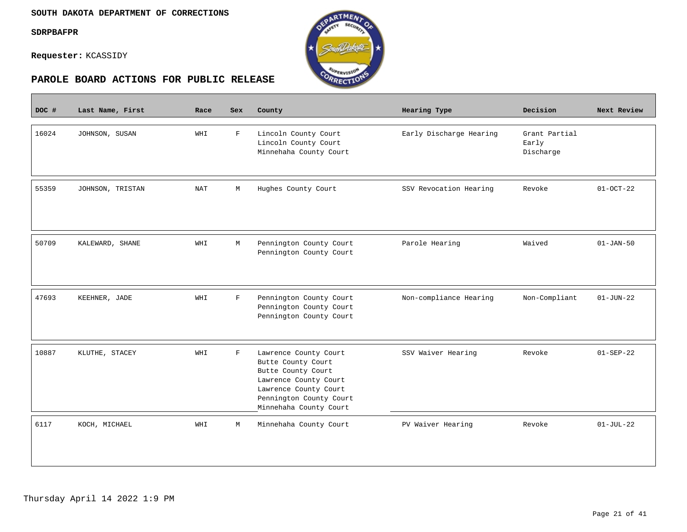$\overline{\phantom{a}}$ 

**Requester:** KCASSIDY



| DOC # | Last Name, First | Race       | <b>Sex</b>  | County                                                                                                                                                                   | Hearing Type            | Decision                            | Next Review     |
|-------|------------------|------------|-------------|--------------------------------------------------------------------------------------------------------------------------------------------------------------------------|-------------------------|-------------------------------------|-----------------|
| 16024 | JOHNSON, SUSAN   | WHI        | $\mathbf F$ | Lincoln County Court<br>Lincoln County Court<br>Minnehaha County Court                                                                                                   | Early Discharge Hearing | Grant Partial<br>Early<br>Discharge |                 |
| 55359 | JOHNSON, TRISTAN | <b>NAT</b> | M           | Hughes County Court                                                                                                                                                      | SSV Revocation Hearing  | Revoke                              | $01-0CT-22$     |
| 50709 | KALEWARD, SHANE  | WHI        | M           | Pennington County Court<br>Pennington County Court                                                                                                                       | Parole Hearing          | Waived                              | $01 - JAN-50$   |
| 47693 | KEEHNER, JADE    | WHI        | $\mathbf F$ | Pennington County Court<br>Pennington County Court<br>Pennington County Court                                                                                            | Non-compliance Hearing  | Non-Compliant                       | $01 - JUN - 22$ |
| 10887 | KLUTHE, STACEY   | WHI        | $\mathbf F$ | Lawrence County Court<br>Butte County Court<br>Butte County Court<br>Lawrence County Court<br>Lawrence County Court<br>Pennington County Court<br>Minnehaha County Court | SSV Waiver Hearing      | Revoke                              | $01 - SEP - 22$ |
| 6117  | KOCH, MICHAEL    | WHI        | M           | Minnehaha County Court                                                                                                                                                   | PV Waiver Hearing       | Revoke                              | $01 - JUL - 22$ |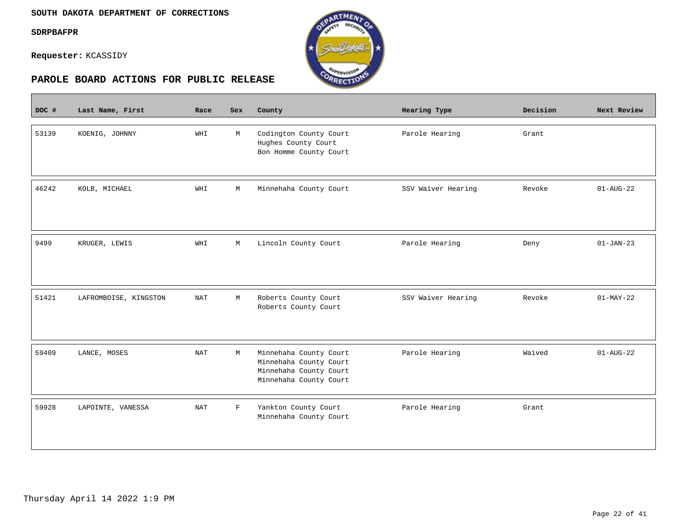$\sim$ 

**Requester:** KCASSIDY



| DOC # | Last Name, First      | Race       | <b>Sex</b>  | County                                                                                               | Hearing Type       | Decision | Next Review            |
|-------|-----------------------|------------|-------------|------------------------------------------------------------------------------------------------------|--------------------|----------|------------------------|
| 53139 | KOENIG, JOHNNY        | WHI        | M           | Codington County Court<br>Hughes County Court<br>Bon Homme County Court                              | Parole Hearing     | Grant    |                        |
| 46242 | KOLB, MICHAEL         | WHI        | $\mathbb M$ | Minnehaha County Court                                                                               | SSV Waiver Hearing | Revoke   | $01 - \text{AUG} - 22$ |
| 9499  | KRUGER, LEWIS         | WHI        | М           | Lincoln County Court                                                                                 | Parole Hearing     | Deny     | $01-JAN-23$            |
| 51421 | LAFROMBOISE, KINGSTON | <b>NAT</b> | М           | Roberts County Court<br>Roberts County Court                                                         | SSV Waiver Hearing | Revoke   | $01-MAY-22$            |
| 59409 | LANCE, MOSES          | <b>NAT</b> | М           | Minnehaha County Court<br>Minnehaha County Court<br>Minnehaha County Court<br>Minnehaha County Court | Parole Hearing     | Waived   | $01 - \text{AUG} - 22$ |
| 59928 | LAPOINTE, VANESSA     | <b>NAT</b> | $\mathbf F$ | Yankton County Court<br>Minnehaha County Court                                                       | Parole Hearing     | Grant    |                        |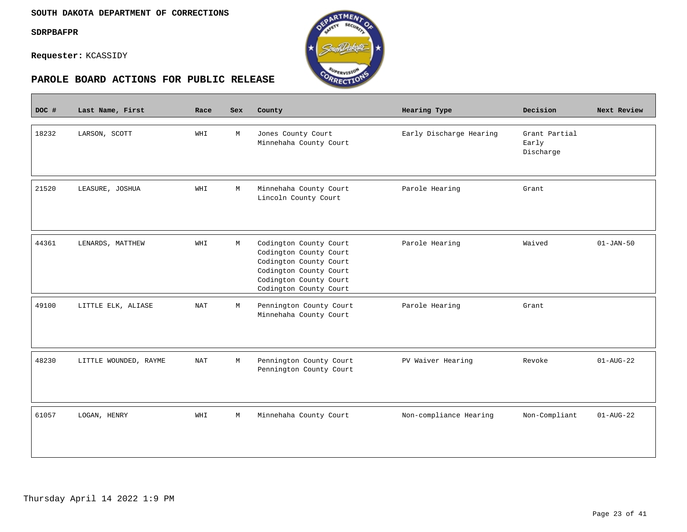$\overline{\phantom{a}}$ 

**Requester:** KCASSIDY



| DOC # | Last Name, First      | Race       | Sex | County                                                                                                                                                   | Hearing Type            | Decision                            | Next Review            |
|-------|-----------------------|------------|-----|----------------------------------------------------------------------------------------------------------------------------------------------------------|-------------------------|-------------------------------------|------------------------|
| 18232 | LARSON, SCOTT         | WHI        | M   | Jones County Court<br>Minnehaha County Court                                                                                                             | Early Discharge Hearing | Grant Partial<br>Early<br>Discharge |                        |
| 21520 | LEASURE, JOSHUA       | WHI        | М   | Minnehaha County Court<br>Lincoln County Court                                                                                                           | Parole Hearing          | Grant                               |                        |
| 44361 | LENARDS, MATTHEW      | WHI        | М   | Codington County Court<br>Codington County Court<br>Codington County Court<br>Codington County Court<br>Codington County Court<br>Codington County Court | Parole Hearing          | Waived                              | $01 - JAN - 50$        |
| 49100 | LITTLE ELK, ALIASE    | <b>NAT</b> | М   | Pennington County Court<br>Minnehaha County Court                                                                                                        | Parole Hearing          | Grant                               |                        |
| 48230 | LITTLE WOUNDED, RAYME | <b>NAT</b> | М   | Pennington County Court<br>Pennington County Court                                                                                                       | PV Waiver Hearing       | Revoke                              | $01 - \text{AUG} - 22$ |
| 61057 | LOGAN, HENRY          | WHI        | М   | Minnehaha County Court                                                                                                                                   | Non-compliance Hearing  | Non-Compliant                       | $01 - AUG - 22$        |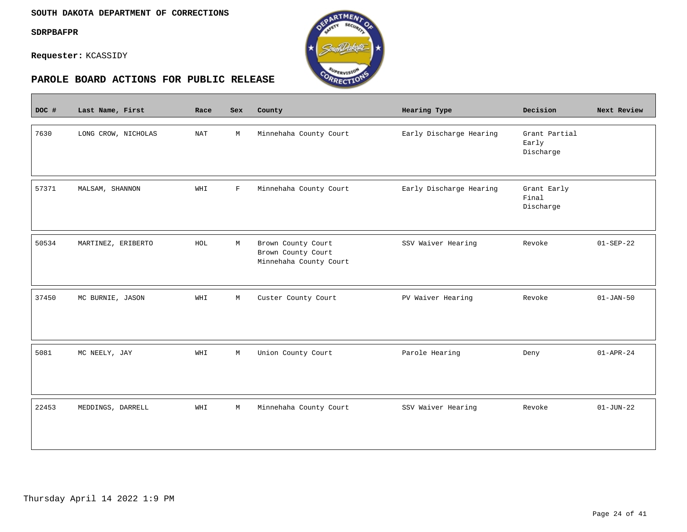$\overline{\phantom{a}}$ 

**Requester:** KCASSIDY



| DOC # | Last Name, First    | Race | Sex         | County                                                             | Hearing Type            | Decision                            | Next Review     |
|-------|---------------------|------|-------------|--------------------------------------------------------------------|-------------------------|-------------------------------------|-----------------|
| 7630  | LONG CROW, NICHOLAS | NAT  | М           | Minnehaha County Court                                             | Early Discharge Hearing | Grant Partial<br>Early<br>Discharge |                 |
| 57371 | MALSAM, SHANNON     | WHI  | $\mathbf F$ | Minnehaha County Court                                             | Early Discharge Hearing | Grant Early<br>Final<br>Discharge   |                 |
| 50534 | MARTINEZ, ERIBERTO  | HOL  | М           | Brown County Court<br>Brown County Court<br>Minnehaha County Court | SSV Waiver Hearing      | Revoke                              | $01 - SEP - 22$ |
| 37450 | MC BURNIE, JASON    | WHI  | M           | Custer County Court                                                | PV Waiver Hearing       | Revoke                              | $01 - JAN - 50$ |
| 5081  | MC NEELY, JAY       | WHI  | М           | Union County Court                                                 | Parole Hearing          | Deny                                | $01 - APR - 24$ |
| 22453 | MEDDINGS, DARRELL   | WHI  | М           | Minnehaha County Court                                             | SSV Waiver Hearing      | Revoke                              | $01 - JUN - 22$ |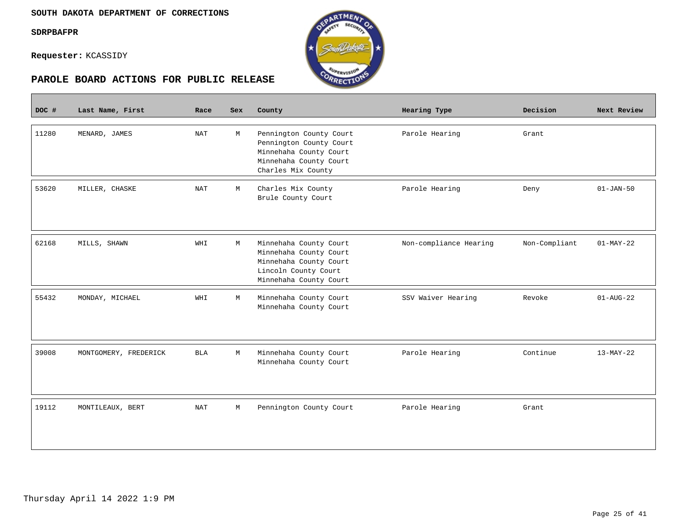**Contract** 

**Requester:** KCASSIDY



| DOC # | Last Name, First      | Race       | <b>Sex</b> | County                                                                                                                       | Hearing Type           | Decision      | Next Review            |
|-------|-----------------------|------------|------------|------------------------------------------------------------------------------------------------------------------------------|------------------------|---------------|------------------------|
| 11280 | MENARD, JAMES         | NAT        | М          | Pennington County Court<br>Pennington County Court<br>Minnehaha County Court<br>Minnehaha County Court<br>Charles Mix County | Parole Hearing         | Grant         |                        |
| 53620 | MILLER, CHASKE        | <b>NAT</b> | М          | Charles Mix County<br>Brule County Court                                                                                     | Parole Hearing         | Deny          | $01 - JAN-50$          |
| 62168 | MILLS, SHAWN          | WHI        | М          | Minnehaha County Court<br>Minnehaha County Court<br>Minnehaha County Court<br>Lincoln County Court<br>Minnehaha County Court | Non-compliance Hearing | Non-Compliant | $01-MAY-22$            |
| 55432 | MONDAY, MICHAEL       | WHI        | М          | Minnehaha County Court<br>Minnehaha County Court                                                                             | SSV Waiver Hearing     | Revoke        | $01 - \text{AUG} - 22$ |
| 39008 | MONTGOMERY, FREDERICK | BLA        | M          | Minnehaha County Court<br>Minnehaha County Court                                                                             | Parole Hearing         | Continue      | $13-MAY-22$            |
| 19112 | MONTILEAUX, BERT      | <b>NAT</b> | М          | Pennington County Court                                                                                                      | Parole Hearing         | Grant         |                        |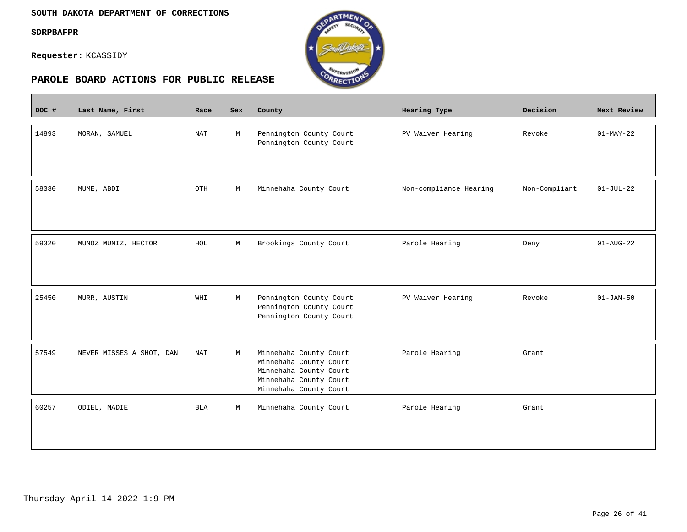$\sim$ 

**Requester:** KCASSIDY



| DOC # | Last Name, First         | Race       | <b>Sex</b> | County                                                                                                                         | Hearing Type           | Decision      | Next Review            |
|-------|--------------------------|------------|------------|--------------------------------------------------------------------------------------------------------------------------------|------------------------|---------------|------------------------|
| 14893 | MORAN, SAMUEL            | <b>NAT</b> | M          | Pennington County Court<br>Pennington County Court                                                                             | PV Waiver Hearing      | Revoke        | $01-MAY-22$            |
| 58330 | MUME, ABDI               | OTH        | М          | Minnehaha County Court                                                                                                         | Non-compliance Hearing | Non-Compliant | $01-JUL-22$            |
| 59320 | MUNOZ MUNIZ, HECTOR      | HOL        | М          | Brookings County Court                                                                                                         | Parole Hearing         | Deny          | $01 - \text{AUG} - 22$ |
| 25450 | MURR, AUSTIN             | WHI        | М          | Pennington County Court<br>Pennington County Court<br>Pennington County Court                                                  | PV Waiver Hearing      | Revoke        | $01 - JAN - 50$        |
| 57549 | NEVER MISSES A SHOT, DAN | NAT        | М          | Minnehaha County Court<br>Minnehaha County Court<br>Minnehaha County Court<br>Minnehaha County Court<br>Minnehaha County Court | Parole Hearing         | Grant         |                        |
| 60257 | ODIEL, MADIE             | <b>BLA</b> | М          | Minnehaha County Court                                                                                                         | Parole Hearing         | Grant         |                        |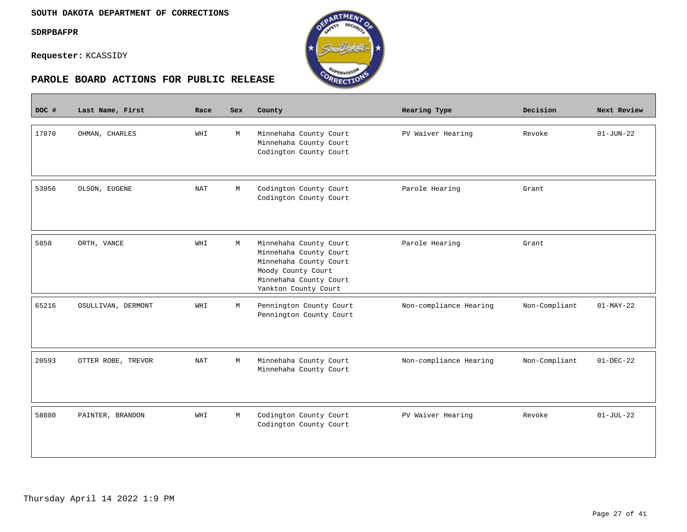$\mathcal{L}^{\text{max}}_{\text{max}}$ 

**Requester:** KCASSIDY



| DOC # | Last Name, First   | Race       | Sex | County                                                                                                                                             | Hearing Type           | Decision      | Next Review     |
|-------|--------------------|------------|-----|----------------------------------------------------------------------------------------------------------------------------------------------------|------------------------|---------------|-----------------|
| 17870 | OHMAN, CHARLES     | WHI        | М   | Minnehaha County Court<br>Minnehaha County Court<br>Codington County Court                                                                         | PV Waiver Hearing      | Revoke        | $01 - JUN - 22$ |
| 53956 | OLSON, EUGENE      | <b>NAT</b> | M   | Codington County Court<br>Codington County Court                                                                                                   | Parole Hearing         | Grant         |                 |
| 5858  | ORTH, VANCE        | WHI        | M   | Minnehaha County Court<br>Minnehaha County Court<br>Minnehaha County Court<br>Moody County Court<br>Minnehaha County Court<br>Yankton County Court | Parole Hearing         | Grant         |                 |
| 65216 | OSULLIVAN, DERMONT | WHI        | M   | Pennington County Court<br>Pennington County Court                                                                                                 | Non-compliance Hearing | Non-Compliant | $01-MAY-22$     |
| 20593 | OTTER ROBE, TREVOR | <b>NAT</b> | M   | Minnehaha County Court<br>Minnehaha County Court                                                                                                   | Non-compliance Hearing | Non-Compliant | $01-DEC-22$     |
| 58880 | PAINTER, BRANDON   | WHI        | M   | Codington County Court<br>Codington County Court                                                                                                   | PV Waiver Hearing      | Revoke        | $01-JUL-22$     |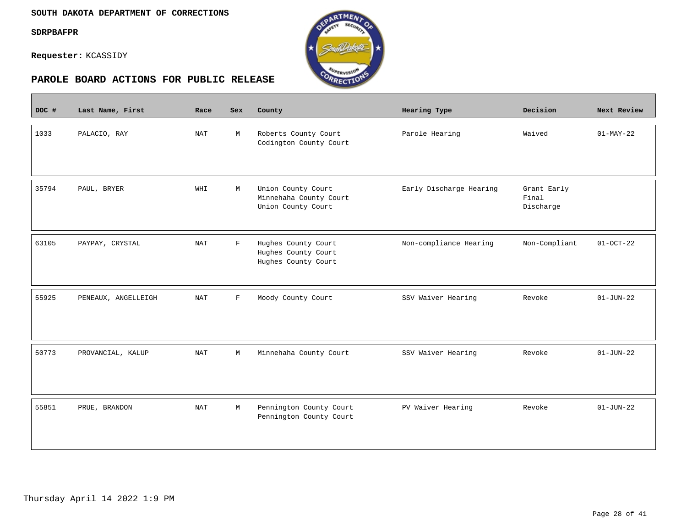$\overline{\phantom{a}}$ 

**Requester:** KCASSIDY



| DOC # | Last Name, First    | Race       | Sex         | County                                                             | <b>Hearing Type</b>     | Decision                          | Next Review     |
|-------|---------------------|------------|-------------|--------------------------------------------------------------------|-------------------------|-----------------------------------|-----------------|
| 1033  | PALACIO, RAY        | <b>NAT</b> | M           | Roberts County Court<br>Codington County Court                     | Parole Hearing          | Waived                            | $01-MAY-22$     |
| 35794 | PAUL, BRYER         | WHI        | М           | Union County Court<br>Minnehaha County Court<br>Union County Court | Early Discharge Hearing | Grant Early<br>Final<br>Discharge |                 |
| 63105 | PAYPAY, CRYSTAL     | <b>NAT</b> | $\mathbf F$ | Hughes County Court<br>Hughes County Court<br>Hughes County Court  | Non-compliance Hearing  | Non-Compliant                     | $01-0CT-22$     |
| 55925 | PENEAUX, ANGELLEIGH | <b>NAT</b> | $\mathbf F$ | Moody County Court                                                 | SSV Waiver Hearing      | Revoke                            | $01 - JUN - 22$ |
| 50773 | PROVANCIAL, KALUP   | <b>NAT</b> | М           | Minnehaha County Court                                             | SSV Waiver Hearing      | Revoke                            | $01 - JUN - 22$ |
| 55851 | PRUE, BRANDON       | <b>NAT</b> | М           | Pennington County Court<br>Pennington County Court                 | PV Waiver Hearing       | Revoke                            | $01 - JUN - 22$ |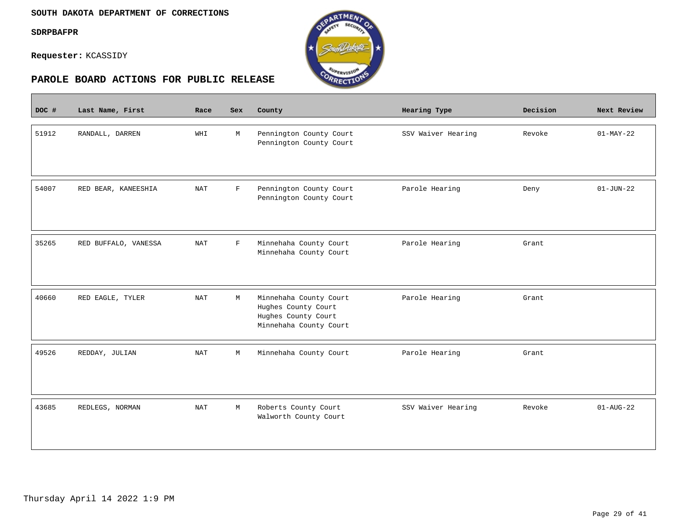$\sim$ 

**Requester:** KCASSIDY



| DOC # | Last Name, First     | Race       | <b>Sex</b>   | County                                                                                         | Hearing Type       | Decision | Next Review            |
|-------|----------------------|------------|--------------|------------------------------------------------------------------------------------------------|--------------------|----------|------------------------|
| 51912 | RANDALL, DARREN      | WHI        | М            | Pennington County Court<br>Pennington County Court                                             | SSV Waiver Hearing | Revoke   | $01-MAY-22$            |
| 54007 | RED BEAR, KANEESHIA  | <b>NAT</b> | $\mathbf F$  | Pennington County Court<br>Pennington County Court                                             | Parole Hearing     | Deny     | $01 - JUN - 22$        |
| 35265 | RED BUFFALO, VANESSA | <b>NAT</b> | $\mathbf{F}$ | Minnehaha County Court<br>Minnehaha County Court                                               | Parole Hearing     | Grant    |                        |
| 40660 | RED EAGLE, TYLER     | <b>NAT</b> | М            | Minnehaha County Court<br>Hughes County Court<br>Hughes County Court<br>Minnehaha County Court | Parole Hearing     | Grant    |                        |
| 49526 | REDDAY, JULIAN       | <b>NAT</b> | М            | Minnehaha County Court                                                                         | Parole Hearing     | Grant    |                        |
| 43685 | REDLEGS, NORMAN      | <b>NAT</b> | М            | Roberts County Court<br>Walworth County Court                                                  | SSV Waiver Hearing | Revoke   | $01 - \text{AUG} - 22$ |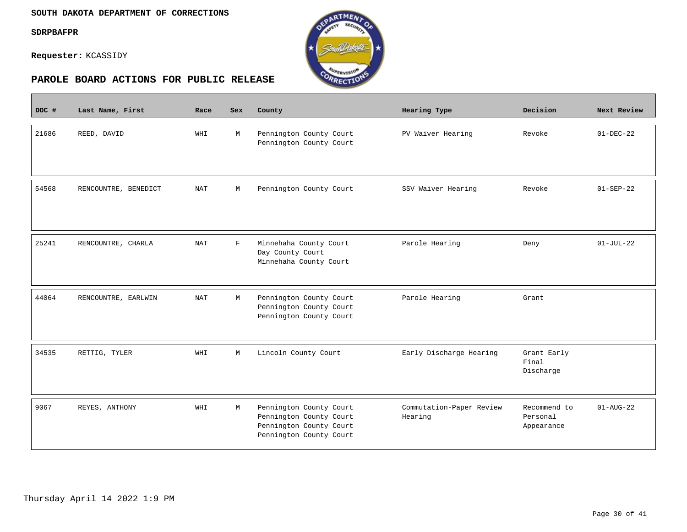$\overline{\phantom{a}}$ 

**Requester:** KCASSIDY



| DOC # | Last Name, First     | Race       | Sex         | County                                                                                                   | Hearing Type                        | Decision                               | Next Review     |
|-------|----------------------|------------|-------------|----------------------------------------------------------------------------------------------------------|-------------------------------------|----------------------------------------|-----------------|
| 21686 | REED, DAVID          | WHI        | M           | Pennington County Court<br>Pennington County Court                                                       | PV Waiver Hearing                   | Revoke                                 | $01 - DEC - 22$ |
| 54568 | RENCOUNTRE, BENEDICT | NAT        | М           | Pennington County Court                                                                                  | SSV Waiver Hearing                  | Revoke                                 | $01 - SEP - 22$ |
| 25241 | RENCOUNTRE, CHARLA   | NAT        | $\mathbf F$ | Minnehaha County Court<br>Day County Court<br>Minnehaha County Court                                     | Parole Hearing                      | Deny                                   | $01-JUL-22$     |
| 44064 | RENCOUNTRE, EARLWIN  | <b>NAT</b> | М           | Pennington County Court<br>Pennington County Court<br>Pennington County Court                            | Parole Hearing                      | Grant                                  |                 |
| 34535 | RETTIG, TYLER        | WHI        | М           | Lincoln County Court                                                                                     | Early Discharge Hearing             | Grant Early<br>Final<br>Discharge      |                 |
| 9067  | REYES, ANTHONY       | WHI        | M           | Pennington County Court<br>Pennington County Court<br>Pennington County Court<br>Pennington County Court | Commutation-Paper Review<br>Hearing | Recommend to<br>Personal<br>Appearance | $01 - AUG - 22$ |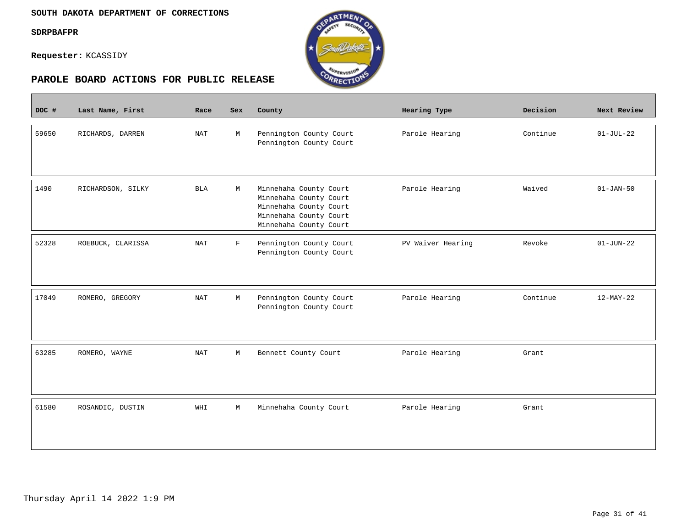$\overline{\phantom{a}}$ 

**Requester:** KCASSIDY



| DOC # | Last Name, First  | Race                 | <b>Sex</b>  | County                                                                                                                         | Hearing Type      | Decision | Next Review     |
|-------|-------------------|----------------------|-------------|--------------------------------------------------------------------------------------------------------------------------------|-------------------|----------|-----------------|
| 59650 | RICHARDS, DARREN  | NAT                  | M           | Pennington County Court<br>Pennington County Court                                                                             | Parole Hearing    | Continue | $01-JUL-22$     |
| 1490  | RICHARDSON, SILKY | <b>BLA</b>           | M           | Minnehaha County Court<br>Minnehaha County Court<br>Minnehaha County Court<br>Minnehaha County Court<br>Minnehaha County Court | Parole Hearing    | Waived   | $01 - JAN - 50$ |
| 52328 | ROEBUCK, CLARISSA | $\operatorname{NAT}$ | $\mathbf F$ | Pennington County Court<br>Pennington County Court                                                                             | PV Waiver Hearing | Revoke   | $01 - JUN - 22$ |
| 17049 | ROMERO, GREGORY   | NAT                  | M           | Pennington County Court<br>Pennington County Court                                                                             | Parole Hearing    | Continue | $12-MAY-22$     |
| 63285 | ROMERO, WAYNE     | NAT                  | М           | Bennett County Court                                                                                                           | Parole Hearing    | Grant    |                 |
| 61580 | ROSANDIC, DUSTIN  | WHI                  | M           | Minnehaha County Court                                                                                                         | Parole Hearing    | Grant    |                 |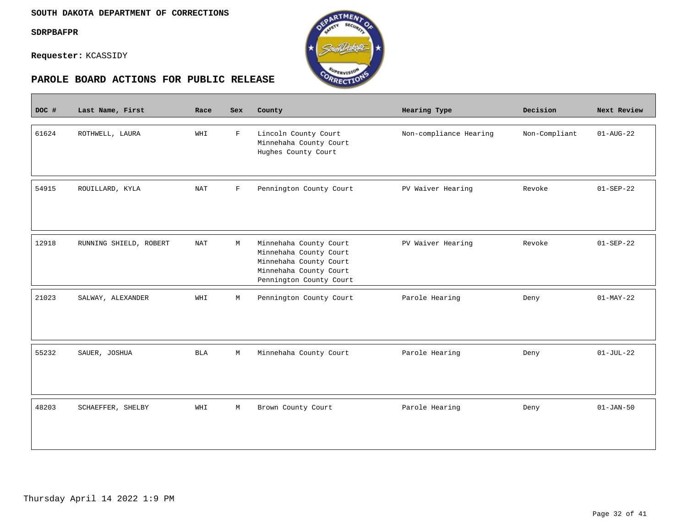$\mathcal{L}^{\text{max}}_{\text{max}}$ 

**Requester:** KCASSIDY



| DOC # | Last Name, First       | Race       | Sex          | County                                                                                                                          | Hearing Type           | Decision      | Next Review            |
|-------|------------------------|------------|--------------|---------------------------------------------------------------------------------------------------------------------------------|------------------------|---------------|------------------------|
| 61624 | ROTHWELL, LAURA        | WHI        | $\mathbf F$  | Lincoln County Court<br>Minnehaha County Court<br>Hughes County Court                                                           | Non-compliance Hearing | Non-Compliant | $01 - \text{AUG} - 22$ |
| 54915 | ROUILLARD, KYLA        | <b>NAT</b> | $\mathbf{F}$ | Pennington County Court                                                                                                         | PV Waiver Hearing      | Revoke        | $01 - SEP - 22$        |
| 12918 | RUNNING SHIELD, ROBERT | <b>NAT</b> | М            | Minnehaha County Court<br>Minnehaha County Court<br>Minnehaha County Court<br>Minnehaha County Court<br>Pennington County Court | PV Waiver Hearing      | Revoke        | $01 - SEP - 22$        |
| 21023 | SALWAY, ALEXANDER      | WHI        | М            | Pennington County Court                                                                                                         | Parole Hearing         | Deny          | $01-MAY-22$            |
| 55232 | SAUER, JOSHUA          | BLA        | М            | Minnehaha County Court                                                                                                          | Parole Hearing         | Deny          | $01-JUL-22$            |
| 48203 | SCHAEFFER, SHELBY      | WHI        | М            | Brown County Court                                                                                                              | Parole Hearing         | Deny          | $01 - JAN - 50$        |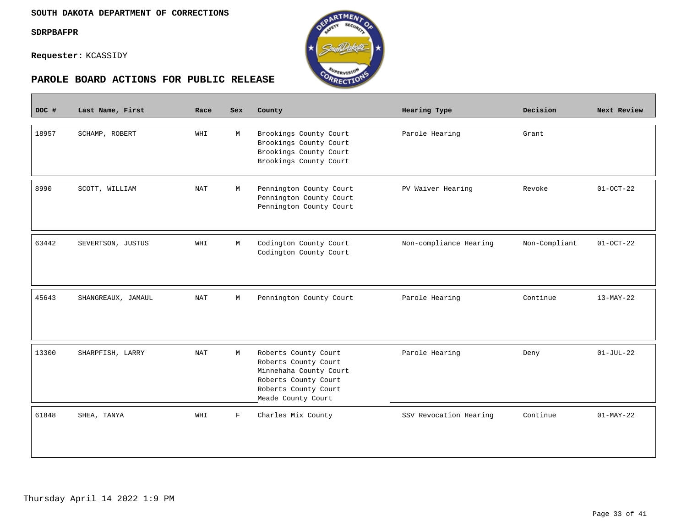$\sim$ 

**Requester:** KCASSIDY



| DOC # | Last Name, First   | Race       | Sex          | County                                                                                                                                       | Hearing Type           | Decision      | Next Review     |
|-------|--------------------|------------|--------------|----------------------------------------------------------------------------------------------------------------------------------------------|------------------------|---------------|-----------------|
| 18957 | SCHAMP, ROBERT     | WHI        | М            | Brookings County Court<br>Brookings County Court<br>Brookings County Court<br>Brookings County Court                                         | Parole Hearing         | Grant         |                 |
| 8990  | SCOTT, WILLIAM     | NAT        | М            | Pennington County Court<br>Pennington County Court<br>Pennington County Court                                                                | PV Waiver Hearing      | Revoke        | $01-0CT-22$     |
| 63442 | SEVERTSON, JUSTUS  | WHI        | М            | Codington County Court<br>Codington County Court                                                                                             | Non-compliance Hearing | Non-Compliant | $01 - OCT - 22$ |
| 45643 | SHANGREAUX, JAMAUL | <b>NAT</b> | M            | Pennington County Court                                                                                                                      | Parole Hearing         | Continue      | $13-MAY-22$     |
| 13300 | SHARPFISH, LARRY   | <b>NAT</b> | М            | Roberts County Court<br>Roberts County Court<br>Minnehaha County Court<br>Roberts County Court<br>Roberts County Court<br>Meade County Court | Parole Hearing         | Deny          | $01-JUL-22$     |
| 61848 | SHEA, TANYA        | WHI        | $\mathbf{F}$ | Charles Mix County                                                                                                                           | SSV Revocation Hearing | Continue      | $01-MAY-22$     |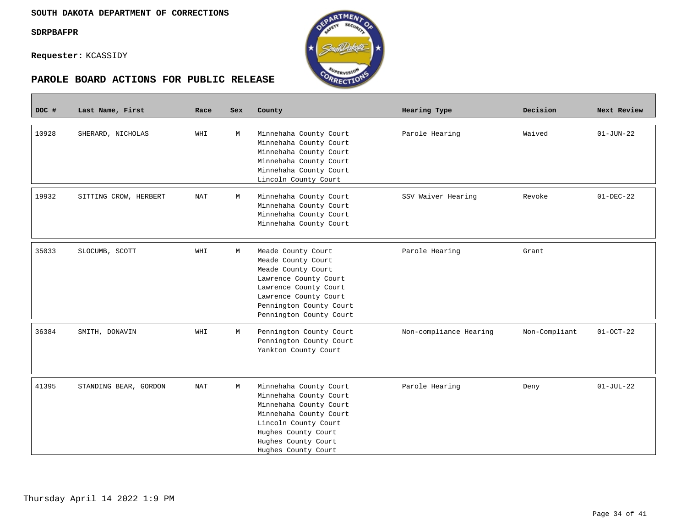**Requester:** KCASSIDY

|       | PAROLE BOARD ACTIONS FOR PUBLIC RELEASE |            |     | <b>ARECTION</b>                                                                                                                                                                                   |                        |               |                 |
|-------|-----------------------------------------|------------|-----|---------------------------------------------------------------------------------------------------------------------------------------------------------------------------------------------------|------------------------|---------------|-----------------|
| DOC # | Last Name, First                        | Race       | Sex | County                                                                                                                                                                                            | Hearing Type           | Decision      | Next Review     |
| 10928 | SHERARD, NICHOLAS                       | <b>THM</b> | М   | Minnehaha County Court<br>Minnehaha County Court<br>Minnehaha County Court<br>Minnehaha County Court<br>Minnehaha County Court<br>Lincoln County Court                                            | Parole Hearing         | Waived        | $01 - JUN - 22$ |
| 19932 | SITTING CROW, HERBERT                   | NAT        | М   | Minnehaha County Court<br>Minnehaha County Court<br>Minnehaha County Court<br>Minnehaha County Court                                                                                              | SSV Waiver Hearing     | Revoke        | $01 - DEC - 22$ |
| 35033 | SLOCUMB, SCOTT                          | WHI        | М   | Meade County Court<br>Meade County Court<br>Meade County Court<br>Lawrence County Court<br>Lawrence County Court<br>Lawrence County Court<br>Pennington County Court<br>Pennington County Court   | Parole Hearing         | Grant         |                 |
| 36384 | SMITH, DONAVIN                          | WHI        | М   | Pennington County Court<br>Pennington County Court<br>Yankton County Court                                                                                                                        | Non-compliance Hearing | Non-Compliant | $01-0CT-22$     |
| 41395 | STANDING BEAR, GORDON                   | NAT        | М   | Minnehaha County Court<br>Minnehaha County Court<br>Minnehaha County Court<br>Minnehaha County Court<br>Lincoln County Court<br>Hughes County Court<br>Hughes County Court<br>Hughes County Court | Parole Hearing         | Deny          | $01-JUL-22$     |

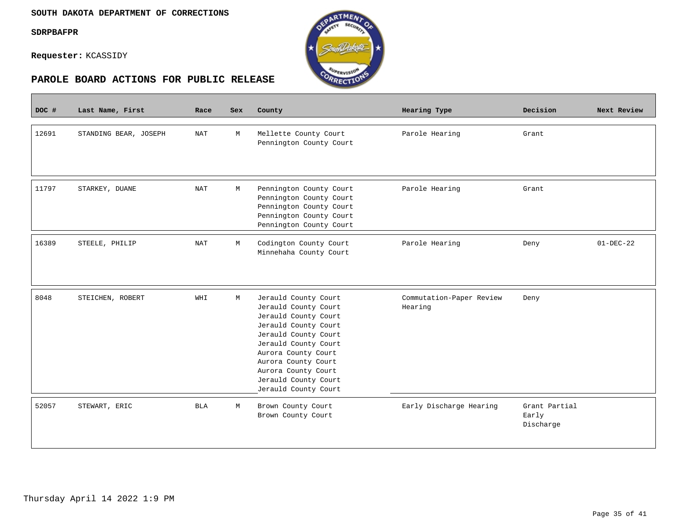$\overline{\phantom{a}}$ 

**Requester:** KCASSIDY





| DOC # | Last Name, First      | Race       | <b>Sex</b> | County                                                                                                                                                                                                                                                            | Hearing Type                        | Decision                            | Next Review |
|-------|-----------------------|------------|------------|-------------------------------------------------------------------------------------------------------------------------------------------------------------------------------------------------------------------------------------------------------------------|-------------------------------------|-------------------------------------|-------------|
| 12691 | STANDING BEAR, JOSEPH | NAT        | М          | Mellette County Court<br>Pennington County Court                                                                                                                                                                                                                  | Parole Hearing                      | Grant                               |             |
| 11797 | STARKEY, DUANE        | NAT        | M          | Pennington County Court<br>Pennington County Court<br>Pennington County Court<br>Pennington County Court<br>Pennington County Court                                                                                                                               | Parole Hearing                      | Grant                               |             |
| 16389 | STEELE, PHILIP        | NAT        | M          | Codington County Court<br>Minnehaha County Court                                                                                                                                                                                                                  | Parole Hearing                      | Deny                                | $01-DEC-22$ |
| 8048  | STEICHEN, ROBERT      | WHI        | М          | Jerauld County Court<br>Jerauld County Court<br>Jerauld County Court<br>Jerauld County Court<br>Jerauld County Court<br>Jerauld County Court<br>Aurora County Court<br>Aurora County Court<br>Aurora County Court<br>Jerauld County Court<br>Jerauld County Court | Commutation-Paper Review<br>Hearing | Deny                                |             |
| 52057 | STEWART, ERIC         | <b>BLA</b> | М          | Brown County Court<br>Brown County Court                                                                                                                                                                                                                          | Early Discharge Hearing             | Grant Partial<br>Early<br>Discharge |             |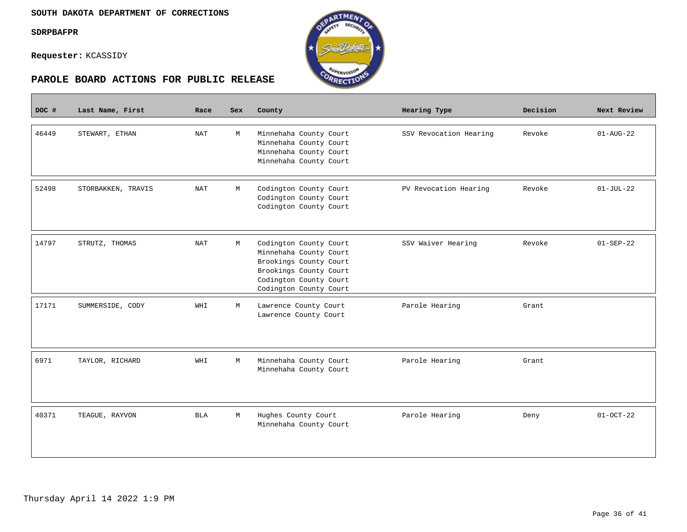П

**Requester:** KCASSIDY





| DOC # | Last Name, First   | Race                 | Sex | County                                                                                                                                                   | Hearing Type           | Decision | Next Review            |
|-------|--------------------|----------------------|-----|----------------------------------------------------------------------------------------------------------------------------------------------------------|------------------------|----------|------------------------|
| 46449 | STEWART, ETHAN     | <b>NAT</b>           | M   | Minnehaha County Court<br>Minnehaha County Court<br>Minnehaha County Court<br>Minnehaha County Court                                                     | SSV Revocation Hearing | Revoke   | $01 - \text{AUG} - 22$ |
| 52498 | STORBAKKEN, TRAVIS | NAT                  | М   | Codington County Court<br>Codington County Court<br>Codington County Court                                                                               | PV Revocation Hearing  | Revoke   | $01-JUL-22$            |
| 14797 | STRUTZ, THOMAS     | $\operatorname{NAT}$ | М   | Codington County Court<br>Minnehaha County Court<br>Brookings County Court<br>Brookings County Court<br>Codington County Court<br>Codington County Court | SSV Waiver Hearing     | Revoke   | $01 - SEP - 22$        |
| 17171 | SUMMERSIDE, CODY   | WHI                  | M   | Lawrence County Court<br>Lawrence County Court                                                                                                           | Parole Hearing         | Grant    |                        |
| 6971  | TAYLOR, RICHARD    | WHI                  | M   | Minnehaha County Court<br>Minnehaha County Court                                                                                                         | Parole Hearing         | Grant    |                        |
| 40371 | TEAGUE, RAYVON     | <b>BLA</b>           | М   | Hughes County Court<br>Minnehaha County Court                                                                                                            | Parole Hearing         | Deny     | $01-0CT-22$            |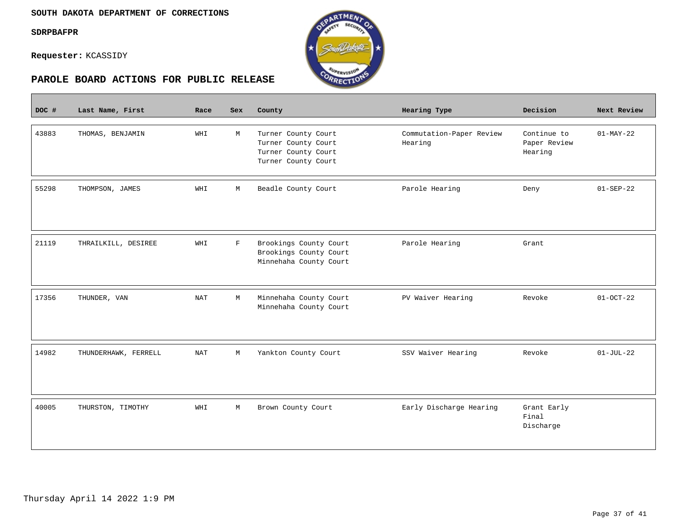$\overline{\phantom{a}}$ 

**Requester:** KCASSIDY



| DOC # | Last Name, First     | Race       | <b>Sex</b> | County                                                                                   | Hearing Type                        | Decision                               | Next Review     |
|-------|----------------------|------------|------------|------------------------------------------------------------------------------------------|-------------------------------------|----------------------------------------|-----------------|
| 43883 | THOMAS, BENJAMIN     | WHI        | M          | Turner County Court<br>Turner County Court<br>Turner County Court<br>Turner County Court | Commutation-Paper Review<br>Hearing | Continue to<br>Paper Review<br>Hearing | $01-MAY-22$     |
| 55298 | THOMPSON, JAMES      | WHI        | М          | Beadle County Court                                                                      | Parole Hearing                      | Deny                                   | $01 - SEP - 22$ |
| 21119 | THRAILKILL, DESIREE  | WHI        | $_{\rm F}$ | Brookings County Court<br>Brookings County Court<br>Minnehaha County Court               | Parole Hearing                      | Grant                                  |                 |
| 17356 | THUNDER, VAN         | <b>NAT</b> | M          | Minnehaha County Court<br>Minnehaha County Court                                         | PV Waiver Hearing                   | Revoke                                 | $01-0CT-22$     |
| 14982 | THUNDERHAWK, FERRELL | <b>NAT</b> | М          | Yankton County Court                                                                     | SSV Waiver Hearing                  | Revoke                                 | $01-JUL-22$     |
| 40005 | THURSTON, TIMOTHY    | WHI        | М          | Brown County Court                                                                       | Early Discharge Hearing             | Grant Early<br>Final<br>Discharge      |                 |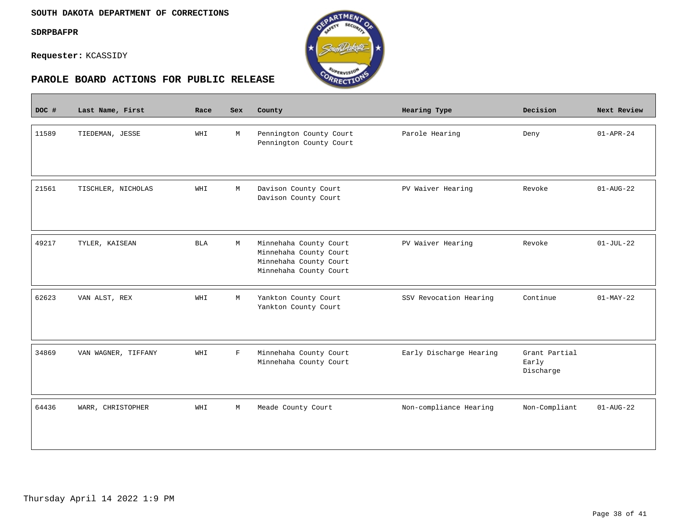$\overline{\phantom{a}}$ 

**Requester:** KCASSIDY



| DOC # | Last Name, First    | Race       | <b>Sex</b> | County                                                                                               | Hearing Type            | Decision                            | Next Review     |
|-------|---------------------|------------|------------|------------------------------------------------------------------------------------------------------|-------------------------|-------------------------------------|-----------------|
| 11589 | TIEDEMAN, JESSE     | WHI        | M          | Pennington County Court<br>Pennington County Court                                                   | Parole Hearing          | Deny                                | $01 - APR - 24$ |
| 21561 | TISCHLER, NICHOLAS  | WHI        | M          | Davison County Court<br>Davison County Court                                                         | PV Waiver Hearing       | Revoke                              | $01 - AUG - 22$ |
| 49217 | TYLER, KAISEAN      | <b>BLA</b> | М          | Minnehaha County Court<br>Minnehaha County Court<br>Minnehaha County Court<br>Minnehaha County Court | PV Waiver Hearing       | Revoke                              | $01-JUL-22$     |
| 62623 | VAN ALST, REX       | WHI        | M          | Yankton County Court<br>Yankton County Court                                                         | SSV Revocation Hearing  | Continue                            | $01-MAY-22$     |
| 34869 | VAN WAGNER, TIFFANY | WHI        | F          | Minnehaha County Court<br>Minnehaha County Court                                                     | Early Discharge Hearing | Grant Partial<br>Early<br>Discharge |                 |
| 64436 | WARR, CHRISTOPHER   | WHI        | М          | Meade County Court                                                                                   | Non-compliance Hearing  | Non-Compliant                       | $01 - AUG - 22$ |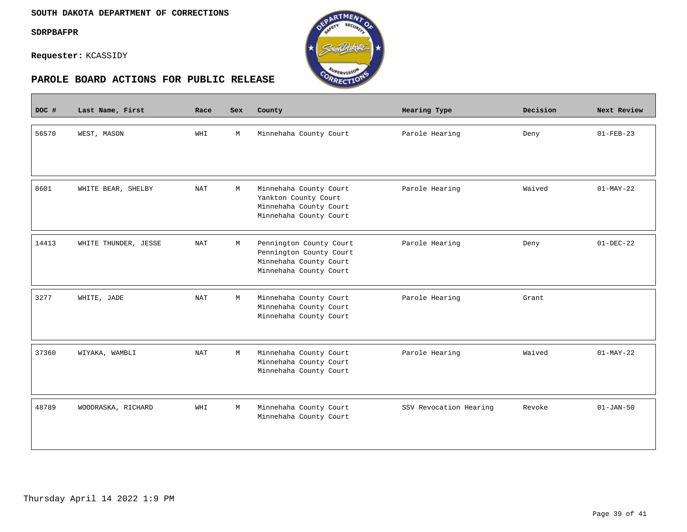#### **SOUTH DAKOTA DEPARTMENT OF CORRECTIONS**

#### **SDRPBAFPR**

 $\overline{\phantom{a}}$ 

**Requester:** KCASSIDY



| DOC # | Last Name, First     | Race       | <b>Sex</b> | County                                                                                                 | Hearing Type           | Decision | Next Review     |
|-------|----------------------|------------|------------|--------------------------------------------------------------------------------------------------------|------------------------|----------|-----------------|
| 56570 | WEST, MASON          | WHI        | M          | Minnehaha County Court                                                                                 | Parole Hearing         | Deny     | $01 - FEB - 23$ |
| 8601  | WHITE BEAR, SHELBY   | <b>NAT</b> | М          | Minnehaha County Court<br>Yankton County Court<br>Minnehaha County Court<br>Minnehaha County Court     | Parole Hearing         | Waived   | $01-MAY-22$     |
| 14413 | WHITE THUNDER, JESSE | NAT        | M          | Pennington County Court<br>Pennington County Court<br>Minnehaha County Court<br>Minnehaha County Court | Parole Hearing         | Deny     | $01-DEC-22$     |
| 3277  | WHITE, JADE          | <b>NAT</b> | М          | Minnehaha County Court<br>Minnehaha County Court<br>Minnehaha County Court                             | Parole Hearing         | Grant    |                 |
| 37360 | WIYAKA, WAMBLI       | <b>NAT</b> | M          | Minnehaha County Court<br>Minnehaha County Court<br>Minnehaha County Court                             | Parole Hearing         | Waived   | $01-MAY-22$     |
| 48789 | WOODRASKA, RICHARD   | WHI        | М          | Minnehaha County Court<br>Minnehaha County Court                                                       | SSV Revocation Hearing | Revoke   | $01 - JAN - 50$ |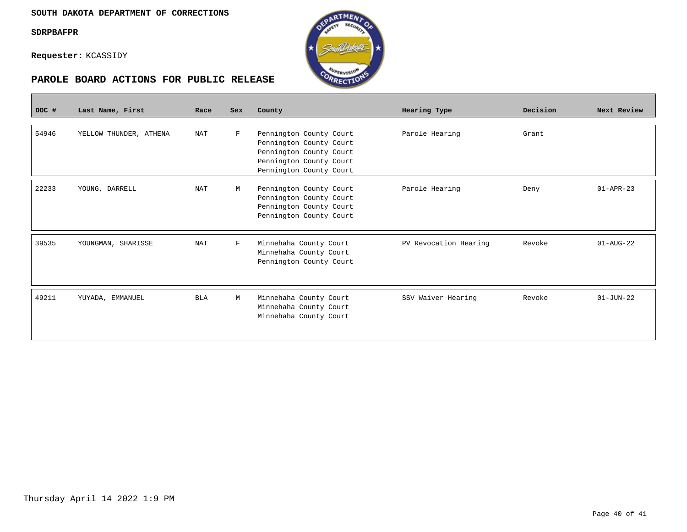**Requester:** KCASSIDY





| DOC # | Last Name, First       | Race       | <b>Sex</b>  | County                                           | Hearing Type          | Decision | Next Review     |
|-------|------------------------|------------|-------------|--------------------------------------------------|-----------------------|----------|-----------------|
|       |                        |            |             |                                                  |                       |          |                 |
| 54946 | YELLOW THUNDER, ATHENA | <b>NAT</b> | $\mathbf F$ | Pennington County Court                          | Parole Hearing        | Grant    |                 |
|       |                        |            |             | Pennington County Court                          |                       |          |                 |
|       |                        |            |             | Pennington County Court                          |                       |          |                 |
|       |                        |            |             | Pennington County Court                          |                       |          |                 |
|       |                        |            |             | Pennington County Court                          |                       |          |                 |
| 22233 | YOUNG, DARRELL         | <b>NAT</b> | M           | Pennington County Court                          | Parole Hearing        | Deny     | $01 - APR - 23$ |
|       |                        |            |             | Pennington County Court                          |                       |          |                 |
|       |                        |            |             | Pennington County Court                          |                       |          |                 |
|       |                        |            |             | Pennington County Court                          |                       |          |                 |
|       |                        |            |             |                                                  |                       |          |                 |
| 39535 | YOUNGMAN, SHARISSE     | <b>NAT</b> | $_{\rm F}$  | Minnehaha County Court                           | PV Revocation Hearing | Revoke   | $01 - AUG - 22$ |
|       |                        |            |             | Minnehaha County Court                           |                       |          |                 |
|       |                        |            |             | Pennington County Court                          |                       |          |                 |
|       |                        |            |             |                                                  |                       |          |                 |
|       |                        |            |             |                                                  |                       |          |                 |
| 49211 |                        |            |             |                                                  |                       |          | $01 - JUN - 22$ |
|       | YUYADA, EMMANUEL       | <b>BLA</b> | М           | Minnehaha County Court                           | SSV Waiver Hearing    | Revoke   |                 |
|       |                        |            |             | Minnehaha County Court<br>Minnehaha County Court |                       |          |                 |
|       |                        |            |             |                                                  |                       |          |                 |
|       |                        |            |             |                                                  |                       |          |                 |
|       |                        |            |             |                                                  |                       |          |                 |